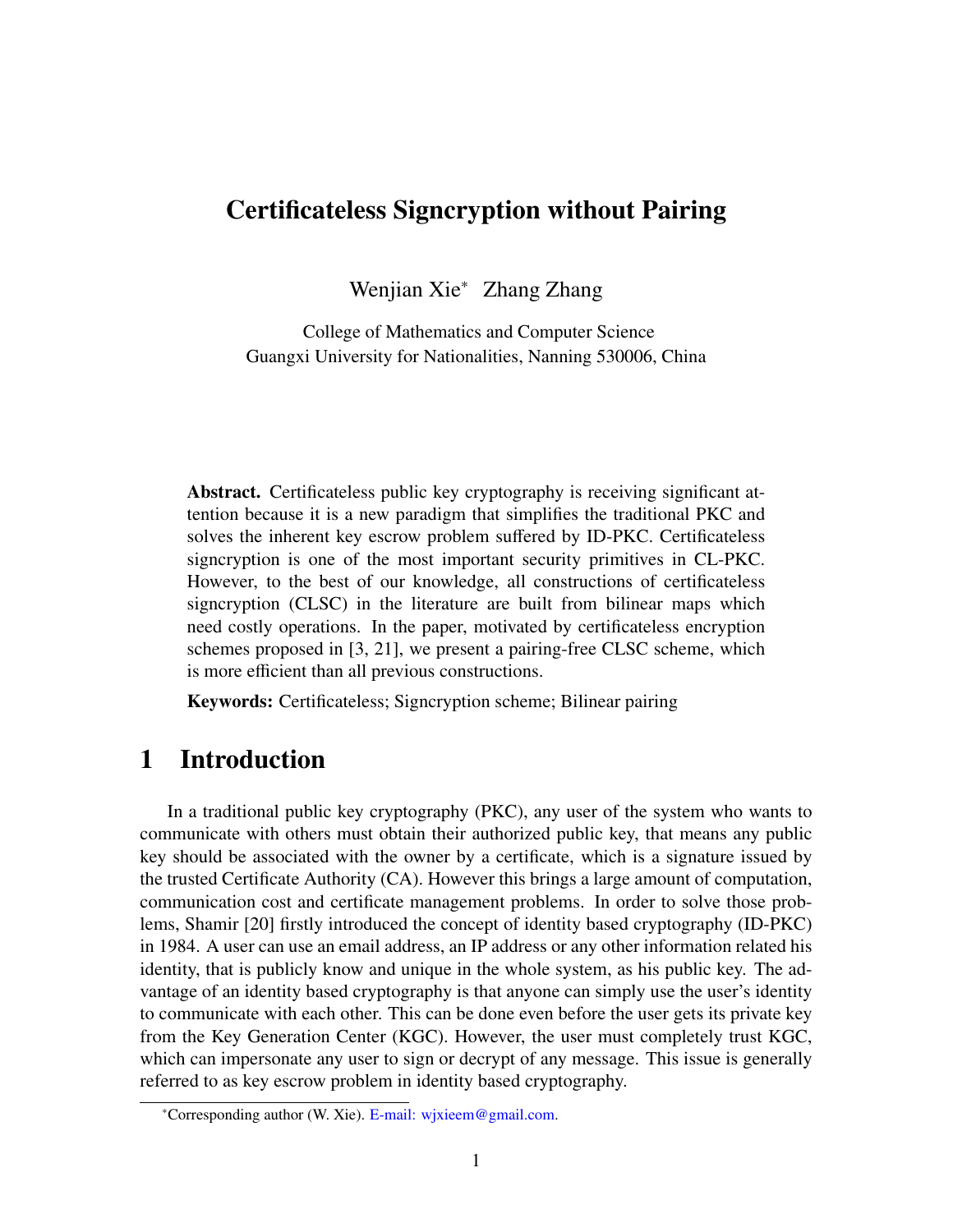# Certificateless Signcryption without Pairing

Wenjian Xie<sup>∗</sup> Zhang Zhang

College of Mathematics and Computer Science Guangxi University for Nationalities, Nanning 530006, China

Abstract. Certificateless public key cryptography is receiving significant attention because it is a new paradigm that simplifies the traditional PKC and solves the inherent key escrow problem suffered by ID-PKC. Certificateless signcryption is one of the most important security primitives in CL-PKC. However, to the best of our knowledge, all constructions of certificateless signcryption (CLSC) in the literature are built from bilinear maps which need costly operations. In the paper, motivated by certificateless encryption schemes proposed in [\[3](#page-15-0), [21](#page-17-0)], we present a pairing-free CLSC scheme, which is more efficient than all previous constructions.

Keywords: Certificateless; Signcryption scheme; Bilinear pairing

# 1 Introduction

In a traditional public key cryptography (PKC), any user of the system who wants to communicate with others must obtain their authorized public key, that means any public key should be associated with the owner by a certificate, which is a signature issued by the trusted Certificate Authority (CA). However this brings a large amount of computation, communication cost and certificate management problems. In order to solve those problems, Shamir [[20\]](#page-16-0) firstly introduced the concept of identity based cryptography (ID-PKC) in 1984. A user can use an email address, an IP address or any other information related his identity, that is publicly know and unique in the whole system, as his public key. The advantage of an identity based cryptography is that anyone can simply use the user's identity to communicate with each other. This can be done even before the user gets its private key from the Key Generation Center (KGC). However, the user must completely trust KGC, which can impersonate any user to sign or decrypt of any message. This issue is generally referred to as key escrow problem in identity based cryptography.

<sup>∗</sup>Corresponding author (W. Xie). [E-mail: wjxieem@gmail.com](mailto: wjxieem@gmail.com).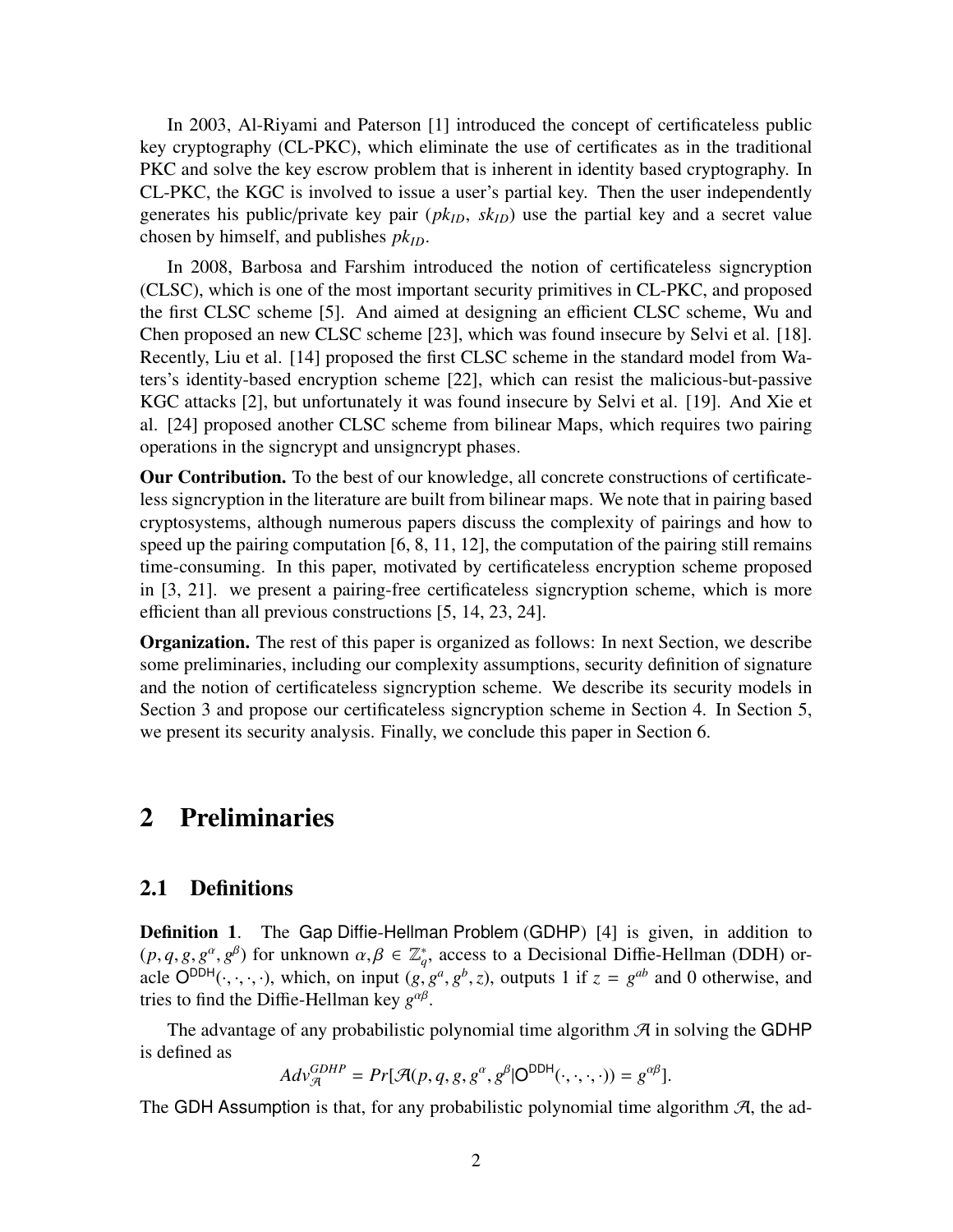In 2003, Al-Riyami and Paterson [\[1](#page-15-1)] introduced the concept of certificateless public key cryptography (CL-PKC), which eliminate the use of certificates as in the traditional PKC and solve the key escrow problem that is inherent in identity based cryptography. In CL-PKC, the KGC is involved to issue a user's partial key. Then the user independently generates his public/private key pair  $(pk_{ID}, sk_{ID})$  use the partial key and a secret value chosen by himself, and publishes *pkID*.

In 2008, Barbosa and Farshim introduced the notion of certificateless signcryption (CLSC), which is one of the most important security primitives in CL-PKC, and proposed the first CLSC scheme [[5\]](#page-15-2). And aimed at designing an efficient CLSC scheme, Wu and Chen proposed an new CLSC scheme [[23\]](#page-17-1), which was found insecure by Selvi et al. [\[18](#page-16-1)]. Recently, Liu et al. [\[14\]](#page-16-2) proposed the first CLSC scheme in the standard model from Waters's identity-based encryption scheme [\[22](#page-17-2)], which can resist the malicious-but-passive KGC attacks [\[2](#page-15-3)], but unfortunately it was found insecure by Selvi et al. [[19\]](#page-16-3). And Xie et al. [\[24](#page-17-3)] proposed another CLSC scheme from bilinear Maps, which requires two pairing operations in the signcrypt and unsigncrypt phases.

Our Contribution. To the best of our knowledge, all concrete constructions of certificateless signcryption in the literature are built from bilinear maps. We note that in pairing based cryptosystems, although numerous papers discuss the complexity of pairings and how to speed up the pairing computation  $[6, 8, 11, 12]$  $[6, 8, 11, 12]$  $[6, 8, 11, 12]$  $[6, 8, 11, 12]$  $[6, 8, 11, 12]$  $[6, 8, 11, 12]$  $[6, 8, 11, 12]$  $[6, 8, 11, 12]$ , the computation of the pairing still remains time-consuming. In this paper, motivated by certificateless encryption scheme proposed in [[3,](#page-15-0) [21\]](#page-17-0). we present a pairing-free certificateless signcryption scheme, which is more efficient than all previous constructions [[5,](#page-15-2) [14](#page-16-2), [23](#page-17-1), [24](#page-17-3)].

Organization. The rest of this paper is organized as follows: In next Section, we describe some preliminaries, including our complexity assumptions, security definition of signature and the notion of certificateless signcryption scheme. We describe its security models in Section 3 and propose our certificateless signcryption scheme in Section 4. In Section 5, we present its security analysis. Finally, we conclude this paper in Section 6.

# 2 Preliminaries

#### 2.1 Definitions

Definition 1. The Gap Diffie-Hellman Problem (GDHP) [[4\]](#page-15-5) is given, in addition to  $(p, q, g, g^{\alpha}, g^{\beta})$  for unknown  $\alpha, \beta \in \mathbb{Z}_q^*$ , access to a Decisional Diffie-Hellman (DDH) oracle  $O^{DDH}(\cdot, \cdot, \cdot, \cdot)$ , which, on input  $(g, g^a, g^b, z)$ , outputs 1 if  $z = g^{ab}$  and 0 otherwise, and tries to find the Diffie-Hellman key *g<sup>αβ</sup>*.

The advantage of any probabilistic polynomial time algorithm  $\mathcal{A}$  in solving the GDHP is defined as

$$
Adv_{\mathcal{A}}^{GDHP} = Pr[\mathcal{A}(p, q, g, g^{\alpha}, g^{\beta} | \mathsf{O}^{\mathsf{DDH}}(\cdot, \cdot, \cdot, \cdot)) = g^{\alpha\beta}].
$$

The GDH Assumption is that, for any probabilistic polynomial time algorithm  $\mathcal{A}$ , the ad-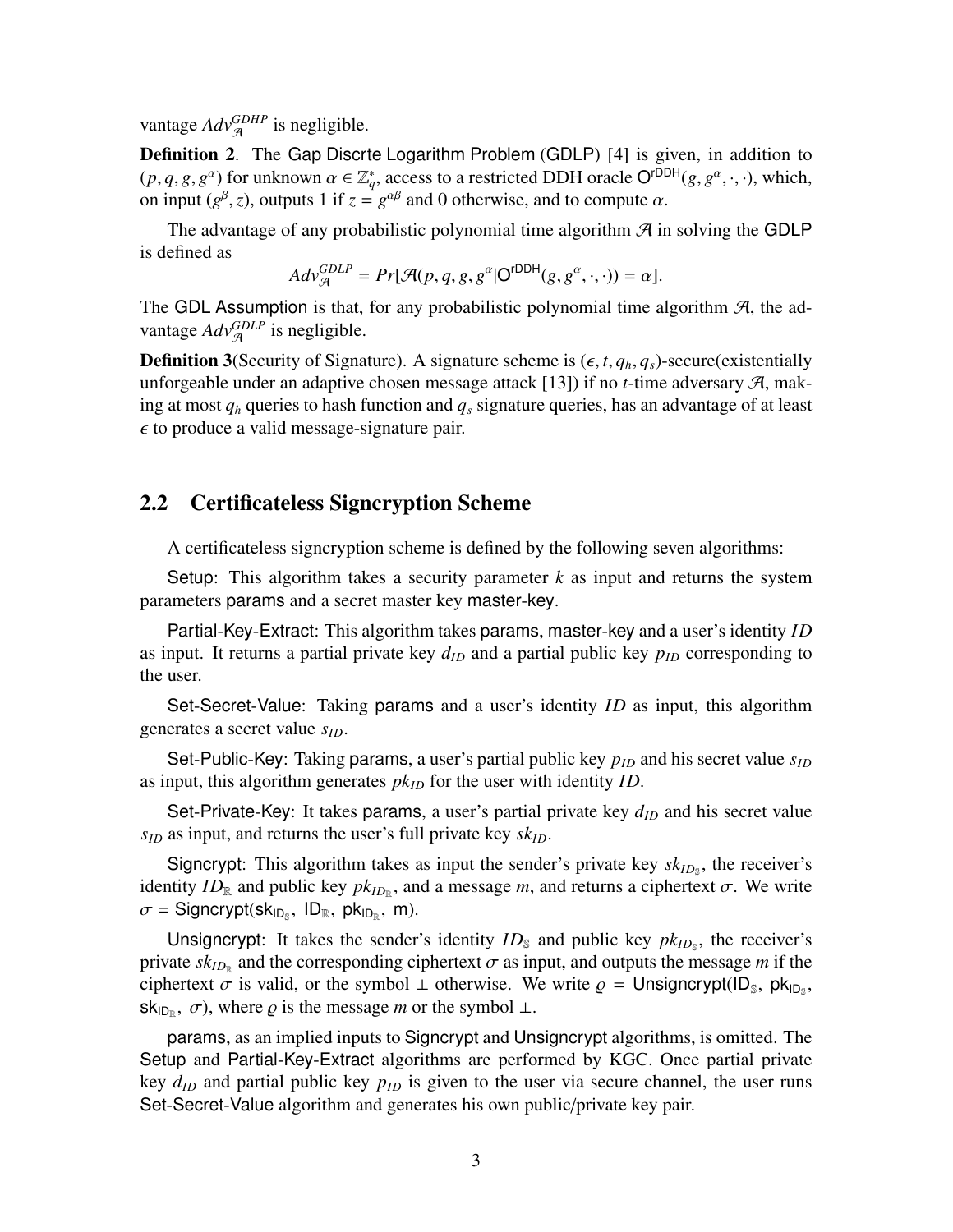vantage  $Adv_{\mathcal{A}}^{GDHP}$  is negligible.

Definition 2. The Gap Discrte Logarithm Problem (GDLP) [\[4](#page-15-5)] is given, in addition to  $(p, q, g, g^{\alpha})$  for unknown  $\alpha \in \mathbb{Z}_q^*$ , access to a restricted DDH oracle O<sup>rDDH</sup>( $g, g^{\alpha}, \cdot, \cdot$ ), which, on input ( $g^{\beta}$ , *z*), outputs 1 if  $z = g^{\alpha\beta}$  and 0 otherwise, and to compute  $\alpha$ .

The advantage of any probabilistic polynomial time algorithm  $\mathcal A$  in solving the GDLP is defined as

$$
Adv_{\mathcal{A}}^{GDLP} = Pr[\mathcal{A}(p, q, g, g^{\alpha}|\mathsf{O}^{\mathsf{rDDH}}(g, g^{\alpha}, \cdot, \cdot)) = \alpha].
$$

The GDL Assumption is that, for any probabilistic polynomial time algorithm  $\mathcal{A}$ , the advantage  $Adv_{\mathcal{A}}^{GDLP}$  is negligible.

**Definition 3**(Security of Signature). A signature scheme is  $(\epsilon, t, q_h, q_s)$ -secure(existentially unforgeable under an adaptive chosen message attack [\[13](#page-16-7)]) if no *t*-time adversary  $\mathcal{A}$ , making at most  $q_h$  queries to hash function and  $q_s$  signature queries, has an advantage of at least  $\epsilon$  to produce a valid message-signature pair.

#### 2.2 Certificateless Signcryption Scheme

A certificateless signcryption scheme is defined by the following seven algorithms:

Setup: This algorithm takes a security parameter  $k$  as input and returns the system parameters params and a secret master key master-key.

Partial-Key-Extract: This algorithm takes params, master-key and a user's identity *ID* as input. It returns a partial private key  $d_{ID}$  and a partial public key  $p_{ID}$  corresponding to the user.

Set-Secret-Value: Taking params and a user's identity *ID* as input, this algorithm generates a secret value *sID*.

Set-Public-Key: Taking params, a user's partial public key  $p_{ID}$  and his secret value  $s_{ID}$ as input, this algorithm generates *pkID* for the user with identity *ID*.

Set-Private-Key: It takes params, a user's partial private key  $d_{ID}$  and his secret value  $s_{ID}$  as input, and returns the user's full private key  $sk_{ID}$ .

Signcrypt: This algorithm takes as input the sender's private key  $sk_{ID_s}$ , the receiver's identity  $ID_{\mathbb{R}}$  and public key  $pk_{ID_{\mathbb{R}}}$ , and a message *m*, and returns a ciphertext  $\sigma$ . We write  $\sigma =$  Signcrypt(sk<sub>IDs</sub>, ID<sub>R</sub>, pk<sub>ID<sub>R</sub>, m).</sub>

Unsigncrypt: It takes the sender's identity  $ID_{\mathcal{S}}$  and public key  $pk_{ID_{\mathcal{S}}}$ , the receiver's private  $sk_{ID_R}$  and the corresponding ciphertext  $\sigma$  as input, and outputs the message m if the ciphertext  $\sigma$  is valid, or the symbol  $\perp$  otherwise. We write  $\rho =$  Unsigncrypt(ID<sub>S</sub>, pk<sub>ID<sub>S</sub></sub>,  $sk_{ID_R}$ ,  $\sigma$ ), where  $\rho$  is the message *m* or the symbol  $\perp$ .

params, as an implied inputs to Signcrypt and Unsigncrypt algorithms, is omitted. The Setup and Partial-Key-Extract algorithms are performed by KGC. Once partial private key  $d_{ID}$  and partial public key  $p_{ID}$  is given to the user via secure channel, the user runs Set-Secret-Value algorithm and generates his own public/private key pair.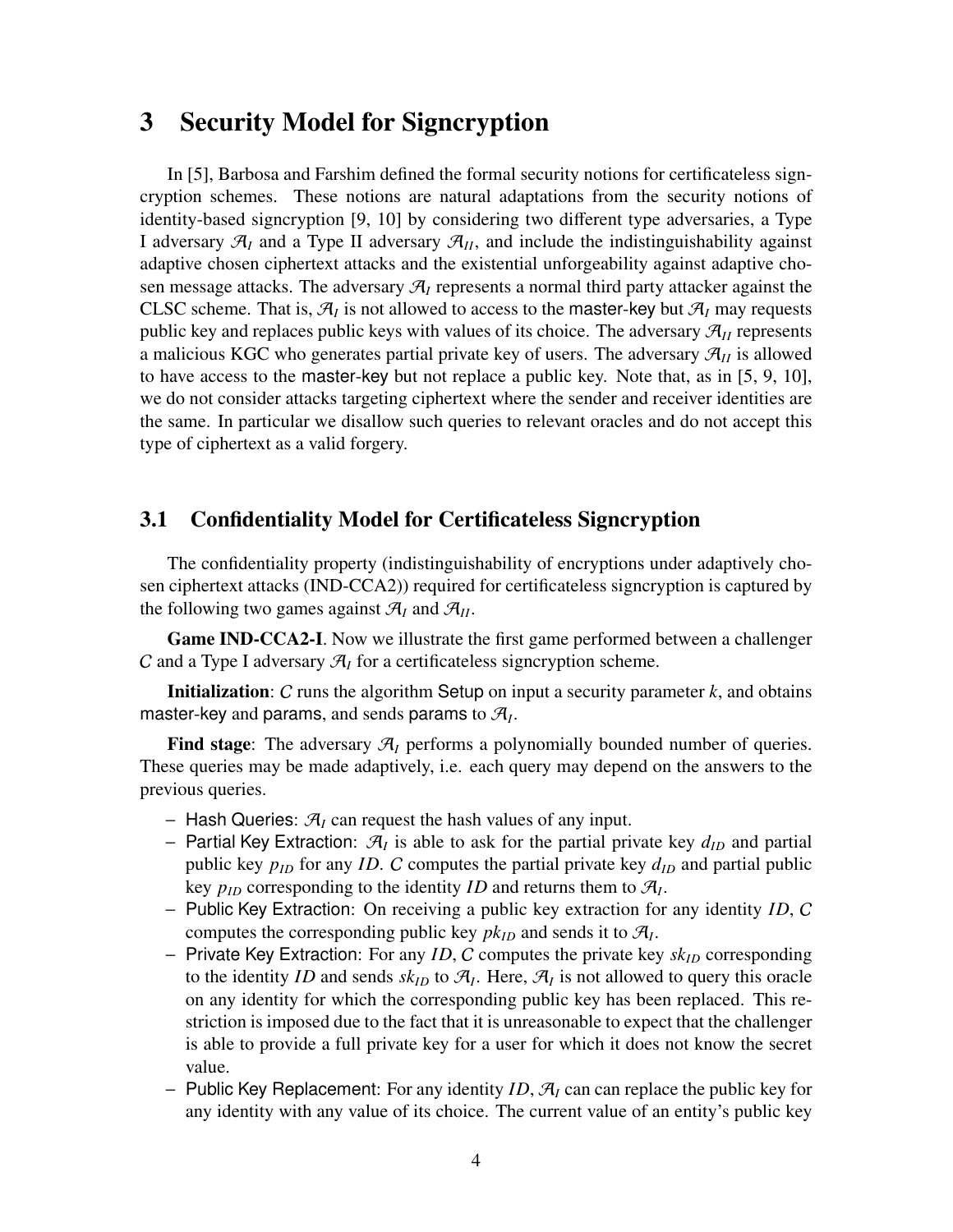# 3 Security Model for Signcryption

In [\[5](#page-15-2)], Barbosa and Farshim defined the formal security notions for certificateless signcryption schemes. These notions are natural adaptations from the security notions of identity-based signcryption [\[9](#page-16-8), [10](#page-16-9)] by considering two different type adversaries, a Type I adversary  $\mathcal{A}_I$  and a Type II adversary  $\mathcal{A}_{II}$ , and include the indistinguishability against adaptive chosen ciphertext attacks and the existential unforgeability against adaptive chosen message attacks. The adversary  $\mathcal{A}_I$  represents a normal third party attacker against the CLSC scheme. That is,  $\mathcal{A}_I$  is not allowed to access to the master-key but  $\mathcal{A}_I$  may requests public key and replaces public keys with values of its choice. The adversary  $\mathcal{A}_{II}$  represents a malicious KGC who generates partial private key of users. The adversary  $\mathcal{A}_{II}$  is allowed to have access to the master-key but not replace a public key. Note that, as in [[5,](#page-15-2) [9](#page-16-8), [10](#page-16-9)], we do not consider attacks targeting ciphertext where the sender and receiver identities are the same. In particular we disallow such queries to relevant oracles and do not accept this type of ciphertext as a valid forgery.

#### 3.1 Confidentiality Model for Certificateless Signcryption

The confidentiality property (indistinguishability of encryptions under adaptively chosen ciphertext attacks (IND-CCA2)) required for certificateless signcryption is captured by the following two games against  $\mathcal{A}_I$  and  $\mathcal{A}_{II}$ .

Game IND-CCA2-I. Now we illustrate the first game performed between a challenger C and a Type I adversary  $\mathcal{A}_I$  for a certificateless signcryption scheme.

Initialization: C runs the algorithm Setup on input a security parameter *k*, and obtains master-key and params, and sends params to  $\mathcal{A}_I$ .

Find stage: The adversary  $\mathcal{A}_I$  performs a polynomially bounded number of queries. These queries may be made adaptively, i.e. each query may depend on the answers to the previous queries.

- − Hash Queries: A*<sup>I</sup>* can request the hash values of any input.
- − Partial Key Extraction: A*<sup>I</sup>* is able to ask for the partial private key *dID* and partial public key  $p_{ID}$  for any *ID*. C computes the partial private key  $d_{ID}$  and partial public key  $p_{ID}$  corresponding to the identity *ID* and returns them to  $\mathcal{A}_I$ .
- − Public Key Extraction: On receiving a public key extraction for any identity *ID*, C computes the corresponding public key  $pk_{ID}$  and sends it to  $\mathcal{A}_I$ .
- − Private Key Extraction: For any *ID*, C computes the private key *skID* corresponding to the identity *ID* and sends  $sk_{ID}$  to  $\mathcal{A}_I$ . Here,  $\mathcal{A}_I$  is not allowed to query this oracle on any identity for which the corresponding public key has been replaced. This restriction is imposed due to the fact that it is unreasonable to expect that the challenger is able to provide a full private key for a user for which it does not know the secret value.
- − Public Key Replacement: For any identity *ID*, A*<sup>I</sup>* can can replace the public key for any identity with any value of its choice. The current value of an entity's public key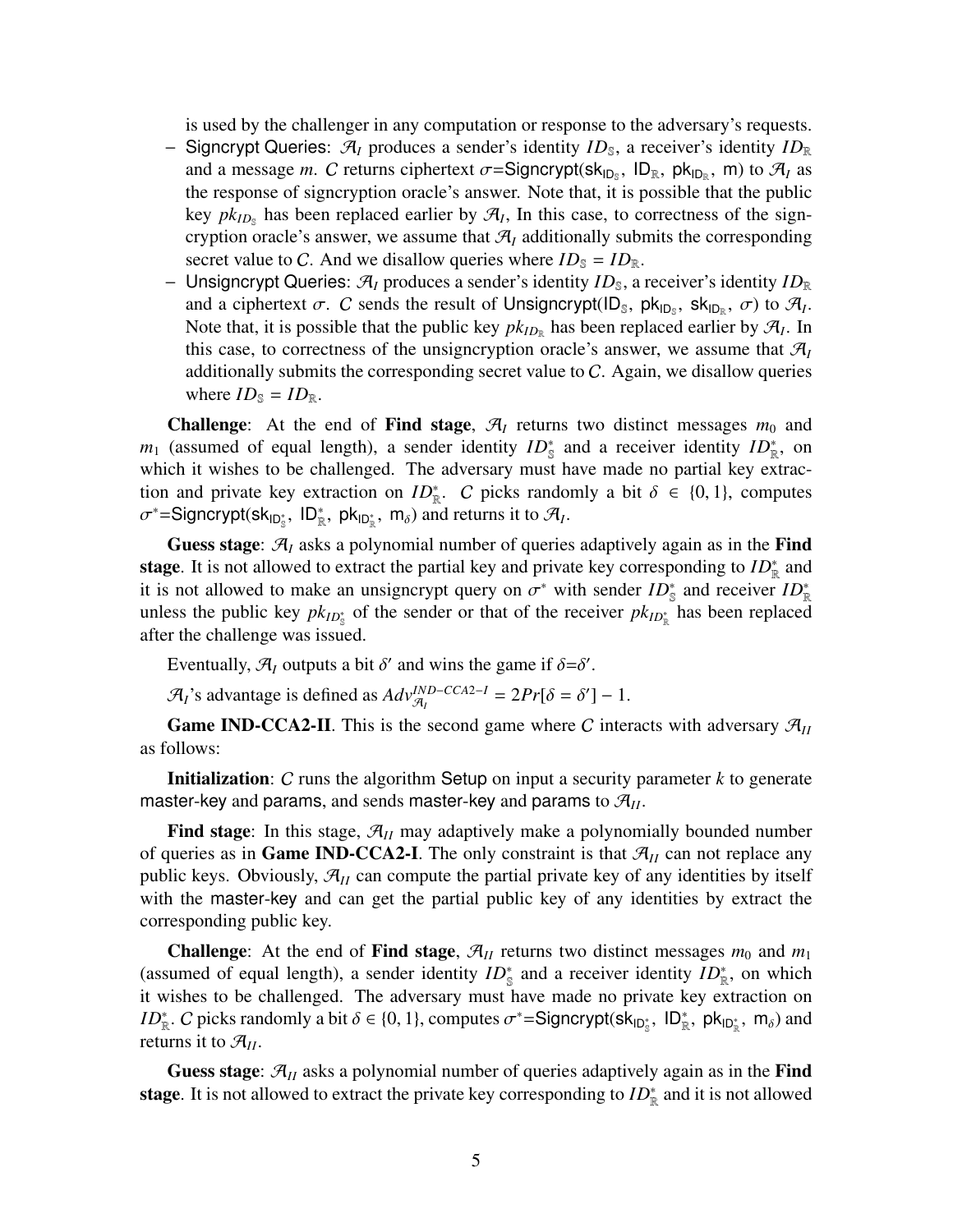is used by the challenger in any computation or response to the adversary's requests.

- − Signcrypt Queries:  $\mathcal{A}_I$  produces a sender's identity *ID*<sub>S</sub>, a receiver's identity *ID*<sub>R</sub> and a message *m*. C returns ciphertext  $\sigma$ =Signcrypt( $sk_{ID_s}$ ,  $ID_R$ ,  $pk_{ID_R}$ , m) to  $\mathcal{A}_I$  as the response of signcryption oracle's answer. Note that, it is possible that the public key  $pk_{ID_s}$  has been replaced earlier by  $\mathcal{A}_I$ , In this case, to correctness of the signcryption oracle's answer, we assume that  $\mathcal{A}_I$  additionally submits the corresponding secret value to C. And we disallow queries where  $ID_s = ID_R$ .
- − Unsigncrypt Queries:  $\mathcal{A}_I$  produces a sender's identity *ID*<sub>S</sub>, a receiver's identity *ID*<sub>R</sub> and a ciphertext  $\sigma$ . C sends the result of Unsigncrypt(ID<sub>S</sub>, pk<sub>ID<sub>S</sub></sub>, sk<sub>ID<sub>R</sub></sub>,  $\sigma$ ) to  $\mathcal{A}_I$ . Note that, it is possible that the public key  $pk_{ID_R}$  has been replaced earlier by  $\mathcal{A}_I$ . In this case, to correctness of the unsigncryption oracle's answer, we assume that  $\mathcal{A}_{I}$ additionally submits the corresponding secret value to  $C$ . Again, we disallow queries where  $ID_{\mathbb{S}} = ID_{\mathbb{R}}$ .

**Challenge:** At the end of Find stage,  $\mathcal{A}_I$  returns two distinct messages  $m_0$  and  $m_1$  (assumed of equal length), a sender identity  $ID_s^*$  and a receiver identity  $ID_{\mathbb{R}}^*$ , on which it wishes to be challenged. The adversary must have made no partial key extraction and private key extraction on  $ID_{\mathbb{R}}^*$ . C picks randomly a bit  $\delta \in \{0, 1\}$ , computes  $\sigma^*$ =Signcrypt(sk<sub>ID<sup>\*</sup>,</sub>, ID<sup>\*</sup><sub>R</sub>, pk<sub>ID<sup>\*</sup><sub>R</sub>, m<sub>δ</sub>) and returns it to  $\mathcal{A}_I$ .</sub>

Guess stage:  $\mathcal{A}_I$  asks a polynomial number of queries adaptively again as in the Find stage. It is not allowed to extract the partial key and private key corresponding to  $ID^*_{\mathbb{R}}$  and it is not allowed to make an unsigncrypt query on  $\sigma^*$  with sender  $ID^*_{\mathbb{S}}$  and receiver  $ID^*_{\mathbb{R}}$ unless the public key  $pk_{ID_{s}^{*}}$  of the sender or that of the receiver  $pk_{ID_{R}^{*}}$  has been replaced after the challenge was issued.

Eventually,  $\mathcal{A}_I$  outputs a bit  $\delta'$  and wins the game if  $\delta = \delta'$ .

 $\mathcal{A}_I$ 's advantage is defined as  $Adv_{\mathcal{A}_I}^{IND-CCA2-I} = 2Pr[\delta = \delta'] - 1$ .

**Game IND-CCA2-II**. This is the second game where C interacts with adversary  $\mathcal{A}_{II}$ as follows:

Initialization: C runs the algorithm Setup on input a security parameter *k* to generate master-key and params, and sends master-key and params to  $\mathcal{A}_{II}$ .

**Find stage:** In this stage,  $\mathcal{A}_{II}$  may adaptively make a polynomially bounded number of queries as in **Game IND-CCA2-I**. The only constraint is that  $\mathcal{A}_{II}$  can not replace any public keys. Obviously,  $\mathcal{A}_{II}$  can compute the partial private key of any identities by itself with the master-key and can get the partial public key of any identities by extract the corresponding public key.

**Challenge:** At the end of **Find stage**,  $\mathcal{A}_{II}$  returns two distinct messages  $m_0$  and  $m_1$ (assumed of equal length), a sender identity  $ID_{\mathbb{S}}^*$  and a receiver identity  $ID_{\mathbb{R}}^*$ , on which it wishes to be challenged. The adversary must have made no private key extraction on *ID*<sup>\*</sup><sub>R</sub>. *C* picks randomly a bit  $\delta \in \{0, 1\}$ , computes  $\sigma^* =$ Signcrypt(sk<sub>ID<sup>\*</sup></sup><sub>S</sub></sub>, ID<sup>\*</sup><sub>R</sub>, pk<sub>ID<sup>\*</sup><sub>R</sub>, m<sub> $\delta$ </sub>) and</sub> returns it to A*II*.

**Guess stage:**  $\mathcal{A}_{II}$  asks a polynomial number of queries adaptively again as in the **Find** stage. It is not allowed to extract the private key corresponding to  $ID^*_{\mathbb{R}}$  and it is not allowed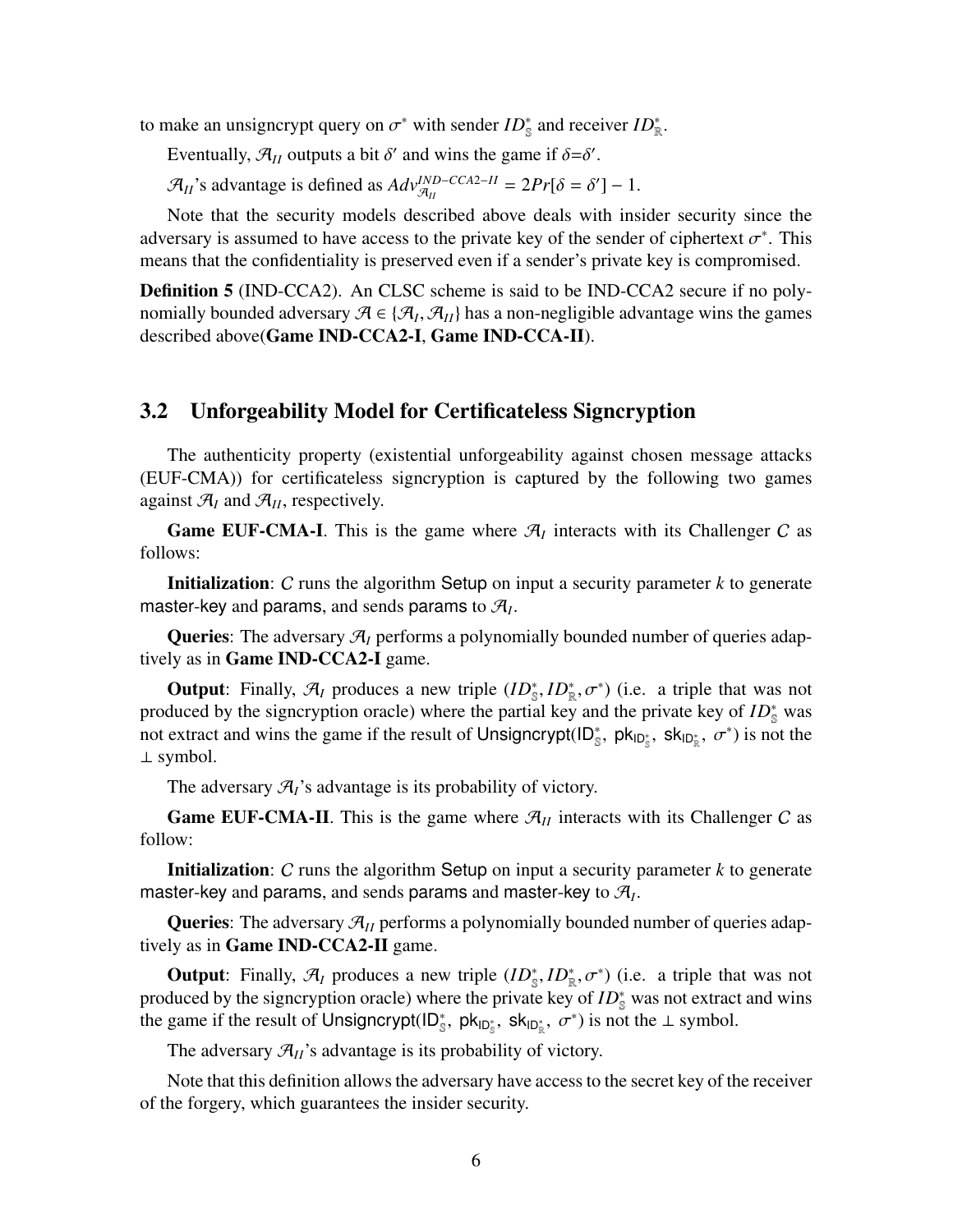to make an unsigncrypt query on  $\sigma^*$  with sender  $ID^*_{\mathbb{S}}$  and receiver  $ID^*_{\mathbb{R}}$ .

Eventually,  $\mathcal{A}_{II}$  outputs a bit  $\delta'$  and wins the game if  $\delta = \delta'$ .

 $\mathcal{A}_{II}$ 's advantage is defined as  $Adv_{\mathcal{A}_{II}}^{IND-CCA2-II} = 2Pr[\delta = \delta'] - 1$ .

Note that the security models described above deals with insider security since the adversary is assumed to have access to the private key of the sender of ciphertext  $\sigma^*$ . This means that the confidentiality is preserved even if a sender's private key is compromised.

Definition 5 (IND-CCA2). An CLSC scheme is said to be IND-CCA2 secure if no polynomially bounded adversary  $\mathcal{A} \in \{ \mathcal{A}_I, \mathcal{A}_{II} \}$  has a non-negligible advantage wins the games described above(Game IND-CCA2-I, Game IND-CCA-II).

#### 3.2 Unforgeability Model for Certificateless Signcryption

The authenticity property (existential unforgeability against chosen message attacks (EUF-CMA)) for certificateless signcryption is captured by the following two games against  $\mathcal{A}_I$  and  $\mathcal{A}_{II}$ , respectively.

**Game EUF-CMA-I**. This is the game where  $\mathcal{A}_I$  interacts with its Challenger C as follows:

Initialization: C runs the algorithm Setup on input a security parameter *k* to generate master-key and params, and sends params to  $\mathcal{A}_I$ .

Queries: The adversary A*<sup>I</sup>* performs a polynomially bounded number of queries adaptively as in Game IND-CCA2-I game.

**Output**: Finally,  $\mathcal{A}_I$  produces a new triple  $(ID_{\mathbb{S}}^*, ID_{\mathbb{R}}^*, \sigma^*)$  (i.e. a triple that was not produced by the signcryption oracle) where the partial key and the private key of *ID*<sup>\*</sup><sub>S</sub> was not extract and wins the game if the result of Unsigncrypt( $ID_s^*$ ,  $pk_{ID_s^*}$ ,  $sk_{ID_s^*}$ ,  $\sigma^*$ ) is not the ⊥ symbol.

The adversary  $\mathcal{A}_I$ 's advantage is its probability of victory.

**Game EUF-CMA-II**. This is the game where  $\mathcal{A}_{II}$  interacts with its Challenger C as follow:

Initialization: C runs the algorithm Setup on input a security parameter *k* to generate master-key and params, and sends params and master-key to  $\mathcal{A}_I$ .

Queries: The adversary  $\mathcal{A}_{II}$  performs a polynomially bounded number of queries adaptively as in Game IND-CCA2-II game.

**Output**: Finally,  $\mathcal{A}_I$  produces a new triple  $(ID_{\mathbb{S}}^*, ID_{\mathbb{R}}^*, \sigma^*)$  (i.e. a triple that was not produced by the signcryption oracle) where the private key of *ID*<sup>∗</sup><sub>S</sub> was not extract and wins the game if the result of Unsigncrypt( $ID_s^*$ ,  $pk_{ID_s^*}$ ,  $sk_{ID_s^*}$ ,  $\sigma^*$ ) is not the  $\perp$  symbol.

The adversary  $\mathcal{A}_{II}$ 's advantage is its probability of victory.

Note that this definition allows the adversary have access to the secret key of the receiver of the forgery, which guarantees the insider security.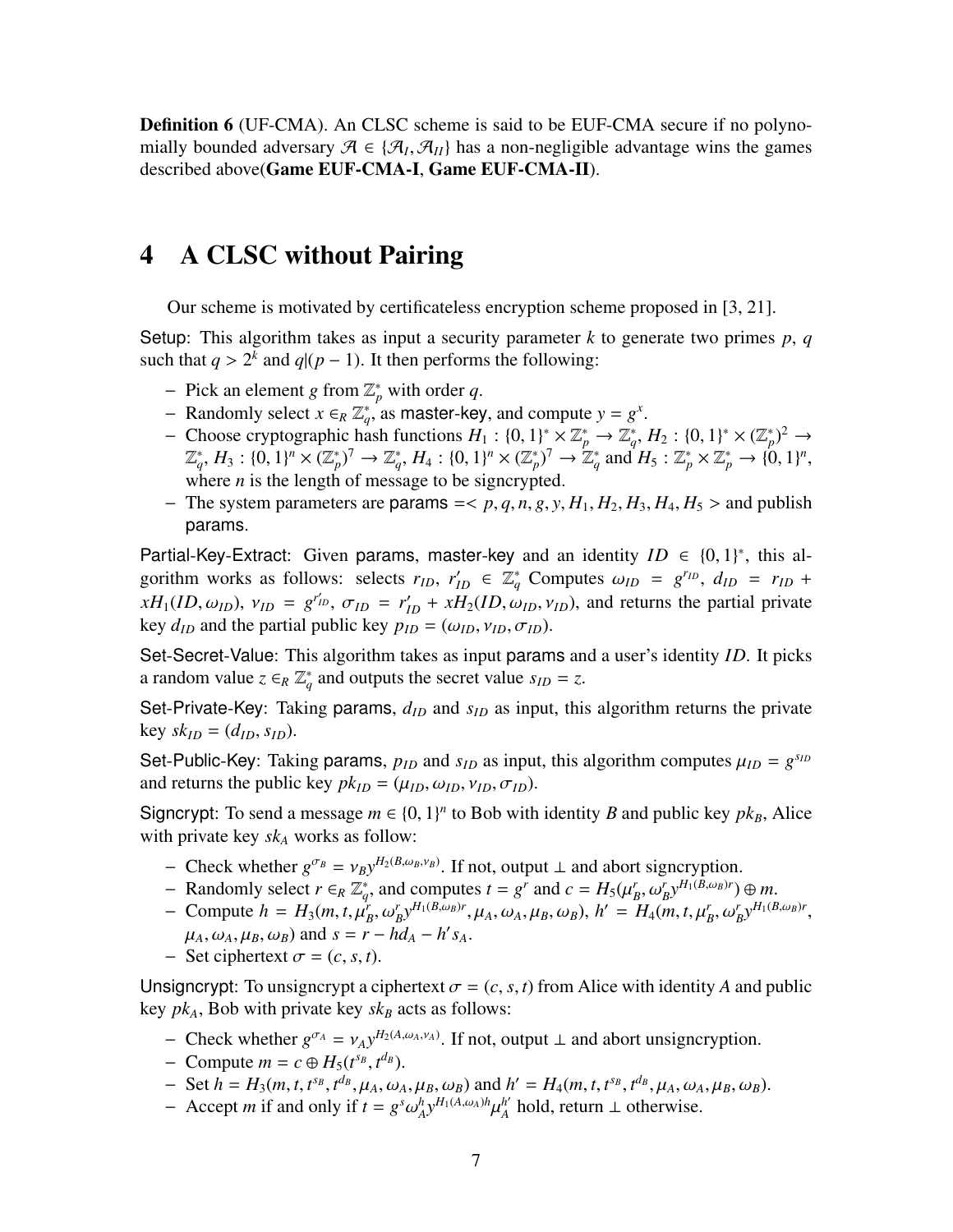**Definition 6** (UF-CMA). An CLSC scheme is said to be EUF-CMA secure if no polynomially bounded adversary  $\mathcal{A} \in \{ \mathcal{A}_I, \mathcal{A}_{II} \}$  has a non-negligible advantage wins the games described above(Game EUF-CMA-I, Game EUF-CMA-II).

### 4 A CLSC without Pairing

Our scheme is motivated by certificateless encryption scheme proposed in [\[3](#page-15-0), [21](#page-17-0)].

Setup: This algorithm takes as input a security parameter *k* to generate two primes *p*, *q* such that  $q > 2^k$  and  $q/(p-1)$ . It then performs the following:

- $-$  Pick an element *g* from  $\mathbb{Z}_p^*$  with order *q*.
- − Randomly select  $x \in_R \mathbb{Z}_q^*$  as master-key, and compute  $y = g^x$ .
- − Choose cryptographic hash functions  $H_1$  : {0, 1}<sup>\*</sup> ×  $\mathbb{Z}_p^*$  →  $\mathbb{Z}_q^*, H_2$  : {0, 1}<sup>\*</sup> ×  $(\mathbb{Z}_p^*)^2$  →  $(\mathbb{Z}_q^*, H_3: \{0,1\}^n \times (\mathbb{Z}_p^*)^7 \to \mathbb{Z}_q^*, H_4: \{0,1\}^n \times (\mathbb{Z}_p^*)^7 \to \mathbb{Z}_q^* \text{ and } H_5: \mathbb{Z}_p^* \times \mathbb{Z}_p^* \to \{0,1\}^n,$ where  $n$  is the length of message to be signcrypted.
- $-$  The system parameters are params  $=< p, q, n, g, y, H_1, H_2, H_3, H_4, H_5 >$  and publish params.

Partial-Key-Extract: Given params, master-key and an identity  $ID \in \{0, 1\}^*$ , this algorithm works as follows: selects  $r_{ID}$ ,  $r'_{ID} \in \mathbb{Z}_q^*$  Computes  $\omega_{ID} = g^{r_{ID}}$ ,  $d_{ID} = r_{ID} +$  $xH_1(ID, \omega_{ID})$ ,  $v_{ID} = g^{r'_{ID}}$ ,  $\sigma_{ID} = r'_{ID} + xH_2(ID, \omega_{ID}, \nu_{ID})$ , and returns the partial private key  $d_{ID}$  and the partial public key  $p_{ID} = (\omega_{ID}, \nu_{ID}, \sigma_{ID})$ .

Set-Secret-Value: This algorithm takes as input params and a user's identity *ID*. It picks a random value  $z \in_R \mathbb{Z}_q^*$  and outputs the secret value  $s_{ID} = z$ .

Set-Private-Key: Taking params,  $d_{ID}$  and  $s_{ID}$  as input, this algorithm returns the private  $key$   $sk_{ID} = (d_{ID}, s_{ID})$ .

Set-Public-Key: Taking params,  $p_{ID}$  and  $s_{ID}$  as input, this algorithm computes  $\mu_{ID} = g^{s_{ID}}$ and returns the public key  $pk_{ID} = (\mu_{ID}, \omega_{ID}, \nu_{ID}, \sigma_{ID}).$ 

Signcrypt: To send a message  $m \in \{0, 1\}^n$  to Bob with identity *B* and public key  $pk_B$ , Alice with private key *sk<sup>A</sup>* works as follow:

- − Check whether  $g^{\sigma_B} = v_B y^{H_2(B,\omega_B,\nu_B)}$ . If not, output ⊥ and abort signcryption.
- *−* Randomly select  $r \in_R \mathbb{Z}_q^*$ , and computes  $t = g^r$  and  $c = H_5(\mu_B^r, \omega_B^r)^{H_1(B, \omega_B)r}$  ⊕ *m*.
- Compute  $h = H_3(m, t, \mu_B^r, \omega_B^r)^{H_1(B, \omega_B)r}$ ,  $\mu_A, \omega_A, \mu_B, \omega_B)$ ,  $h' = H_4(m, t, \mu_B^r, \omega_B^r)^{H_1(B, \omega_B)r}$ ,  $\mu_A$ ,  $\omega_A$ ,  $\mu_B$ ,  $\omega_B$ ) and  $s = r - hd_A - h's_A$ .
- $-$  Set ciphertext  $\sigma = (c, s, t)$ .

Unsigncrypt: To unsigncrypt a ciphertext  $\sigma = (c, s, t)$  from Alice with identity A and public key  $pk_A$ , Bob with private key  $sk_B$  acts as follows:

- − Check whether  $g^{\sigma_A} = v_A y^{H_2(A, \omega_A, \nu_A)}$ . If not, output ⊥ and abort unsigncryption.
- $-$  Compute  $m = c \oplus H_5(t^{s_B}, t^{d_B})$ .
- $-$  Set  $h = H_3(m, t, t^{s_B}, t^{d_B}, \mu_A, \omega_A, \mu_B, \omega_B)$  and  $h' = H_4(m, t, t^{s_B}, t^{d_B}, \mu_A, \omega_A, \mu_B, \omega_B)$ .
- $-$  Accept *m* if and only if  $t = g^s \omega_A^h y^{H_1(A,\omega_A)h} \mu_A^{h'}$  $_A^{h'}$  hold, return  $\perp$  otherwise.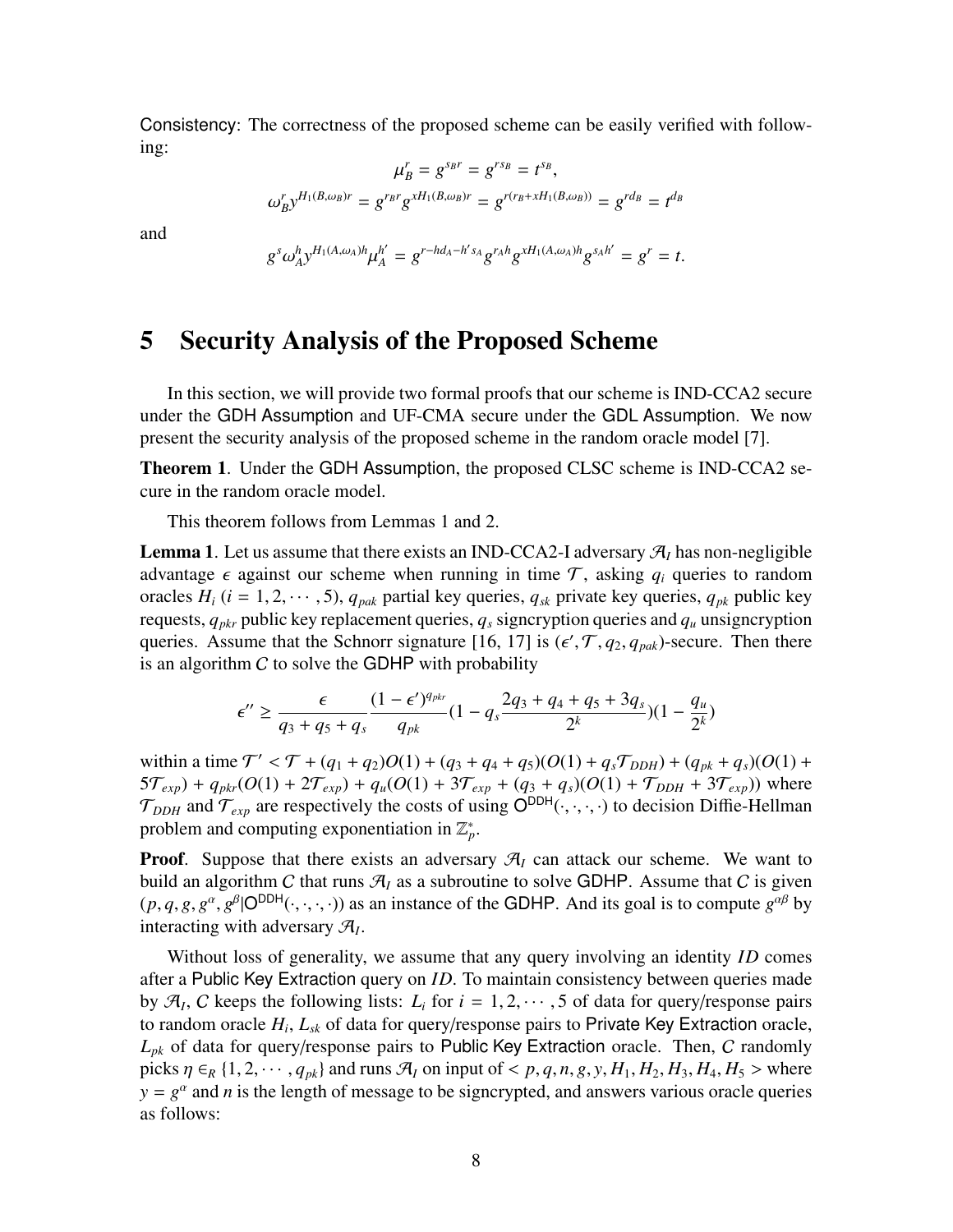Consistency: The correctness of the proposed scheme can be easily verified with following:

$$
\mu_B^r = g^{s_{B}r} = g^{r_{SB}} = t^{s_B},
$$
  

$$
\omega_B^r y^{H_1(B,\omega_B)r} = g^{r_{B}r} g^{xH_1(B,\omega_B)r} = g^{r(r_B + xH_1(B,\omega_B))} = g^{r d_B} = t^{d_B}
$$

and

$$
g^{s}\omega_{A}^{h}y^{H_{1}(A,\omega_{A})h}\mu_{A}^{h'}=g^{r-hd_{A}-h's_{A}}g^{r_{A}h}g^{xH_{1}(A,\omega_{A})h}g^{s_{A}h'}=g^{r}=t.
$$

### 5 Security Analysis of the Proposed Scheme

In this section, we will provide two formal proofs that our scheme is IND-CCA2 secure under the GDH Assumption and UF-CMA secure under the GDL Assumption. We now present the security analysis of the proposed scheme in the random oracle model [\[7](#page-16-10)].

Theorem 1. Under the GDH Assumption, the proposed CLSC scheme is IND-CCA2 secure in the random oracle model.

This theorem follows from Lemmas 1 and 2.

**Lemma 1.** Let us assume that there exists an IND-CCA2-I adversary  $\mathcal{A}_I$  has non-negligible advantage  $\epsilon$  against our scheme when running in time  $\mathcal{T}$ , asking  $q_i$  queries to random oracles  $H_i$  ( $i = 1, 2, \dots, 5$ ),  $q_{pak}$  partial key queries,  $q_{sk}$  private key queries,  $q_{pk}$  public key requests, *qpkr* public key replacement queries, *q<sup>s</sup>* signcryption queries and *q<sup>u</sup>* unsigncryption queries. Assume that the Schnorr signature [\[16](#page-16-11), [17\]](#page-16-12) is  $(\epsilon', \mathcal{T}, q_2, q_{\text{pak}})$ -secure. Then there is an algorithm  $C$  to solve the GDHP with probability

$$
\epsilon'' \geq \frac{\epsilon}{q_3+q_5+q_s}\frac{(1-\epsilon')^{q_{pk}}}{q_{pk}}(1-q_s\frac{2q_3+q_4+q_5+3q_s}{2^k})(1-\frac{q_u}{2^k})
$$

within a time  $T' < T + (q_1 + q_2)O(1) + (q_3 + q_4 + q_5)(O(1) + q_sT_{DDH}) + (q_{pk} + q_s)(O(1) +$  $5\mathcal{T}_{exp}$  +  $q_{pkr}(O(1) + 2\mathcal{T}_{exp}) + q_u(O(1) + 3\mathcal{T}_{exp} + (q_3 + q_s)(O(1) + \mathcal{T}_{DDH} + 3\mathcal{T}_{exp}))$  where  $\mathcal{T}_{DDH}$  and  $\mathcal{T}_{exp}$  are respectively the costs of using  $\mathsf{O}^{DDH}(\cdot,\cdot,\cdot,\cdot)$  to decision Diffie-Hellman problem and computing exponentiation in  $\mathbb{Z}_p^*$ .

**Proof.** Suppose that there exists an adversary  $\mathcal{A}_I$  can attack our scheme. We want to build an algorithm C that runs  $\mathcal{A}_I$  as a subroutine to solve GDHP. Assume that C is given  $(p, q, g, g^{\alpha}, g^{\beta} | O^{DDH}(\cdot, \cdot, \cdot, \cdot))$  as an instance of the GDHP. And its goal is to compute  $g^{\alpha\beta}$  by interacting with adversary A*<sup>I</sup>* .

Without loss of generality, we assume that any query involving an identity *ID* comes after a Public Key Extraction query on *ID*. To maintain consistency between queries made by  $\mathcal{A}_I$ , C keeps the following lists:  $L_i$  for  $i = 1, 2, \dots, 5$  of data for query/response pairs to random oracle *H<sup>i</sup>* , *Lsk* of data for query/response pairs to Private Key Extraction oracle, *Lpk* of data for query/response pairs to Public Key Extraction oracle. Then, C randomly picks  $\eta \in_R \{1, 2, \dots, q_{pk}\}\$  and runs  $\mathcal{A}_I$  on input of < p, q, n, g, y,  $H_1, H_2, H_3, H_4, H_5$  > where  $y = g^{\alpha}$  and *n* is the length of message to be signcrypted, and answers various oracle queries as follows: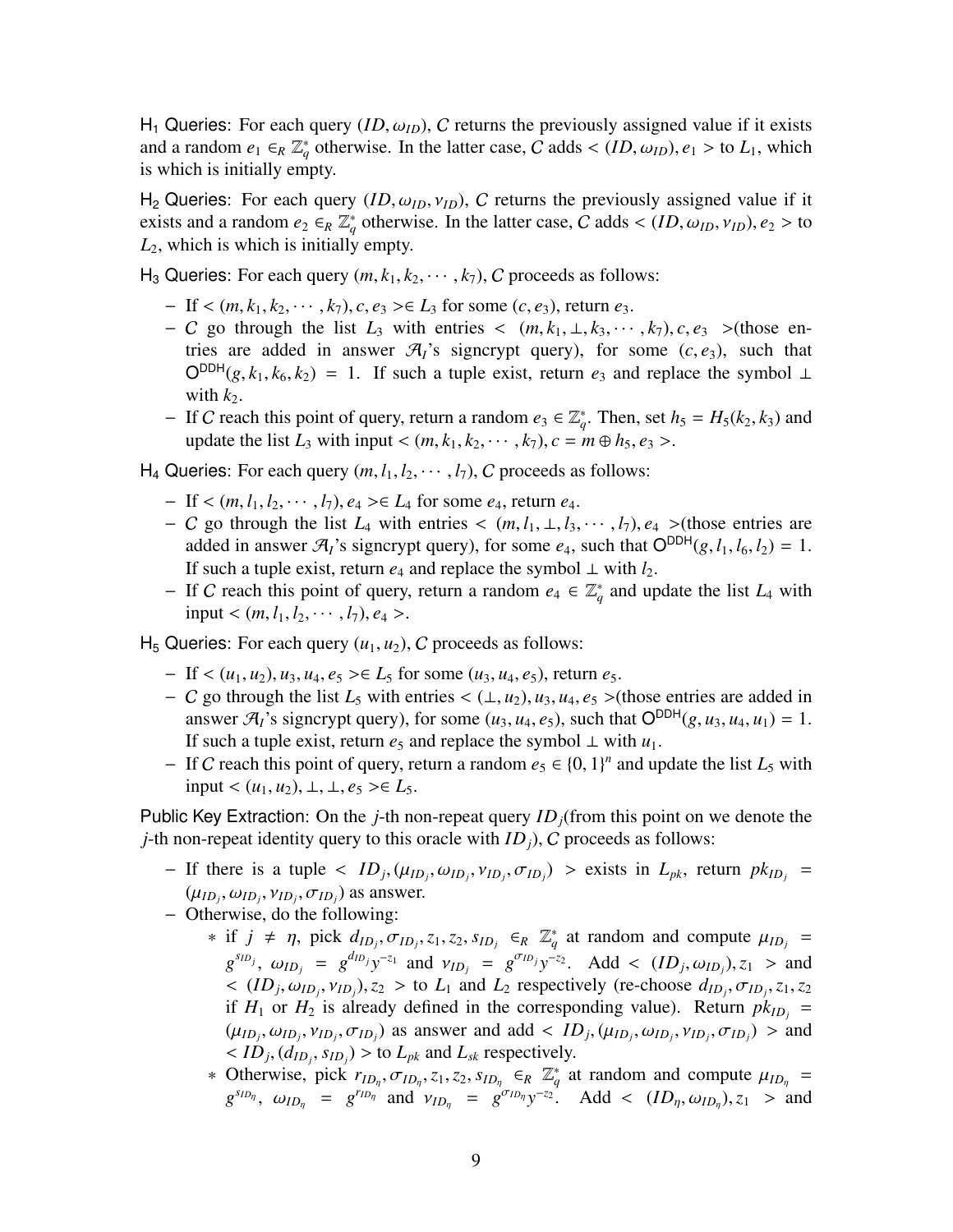H<sub>1</sub> Queries: For each query  $(ID, \omega_{ID})$ , C returns the previously assigned value if it exists and a random  $e_1 \in_R \mathbb{Z}_q^*$  otherwise. In the latter case, C adds <  $(ID, \omega_{ID}), e_1 >$  to  $L_1$ , which is which is initially empty.

H<sub>2</sub> Queries: For each query  $(ID, \omega_{ID}, \nu_{ID})$ , C returns the previously assigned value if it exists and a random  $e_2 \in_R \mathbb{Z}_q^*$  otherwise. In the latter case, C adds <  $(ID, \omega_{ID}, \nu_{ID}), e_2 >$  to *L*2, which is which is initially empty.

H<sub>3</sub> Queries: For each query  $(m, k_1, k_2, \dots, k_7)$ , C proceeds as follows:

- − If < (*m*, *k*1, *k*2, · · · , *k*7), *c*, *e*<sup>3</sup> >∈ *L*<sup>3</sup> for some (*c*, *e*3), return *e*3.
- $-C$  go through the list  $L_3$  with entries  $\langle (m, k_1, \perp, k_3, \cdots, k_7), c, e_3 \rangle$  >(those entries are added in answer  $\mathcal{A}_I$ 's signcrypt query), for some  $(c, e_3)$ , such that O<sup>DDH</sup>(*g*,  $k_1$ ,  $k_6$ ,  $k_2$ ) = 1. If such a tuple exist, return  $e_3$  and replace the symbol ⊥ with  $k_2$ .
- − If *C* reach this point of query, return a random  $e_3 \n∈ \mathbb{Z}_q^*$ . Then, set  $h_5 = H_5(k_2, k_3)$  and update the list  $L_3$  with input <  $(m, k_1, k_2, \dots, k_7)$ ,  $c = m \oplus h_5$ ,  $e_3 >$ .

 $H_4$  Queries: For each query  $(m, l_1, l_2, \dots, l_7)$ , C proceeds as follows:

- − If < (*m*, *l*1, *l*2, · · · , *l*7), *e*<sup>4</sup> >∈ *L*<sup>4</sup> for some *e*4, return *e*4.
- $-C$  go through the list  $L_4$  with entries  $\langle (m, l_1, \perp, l_3, \cdots, l_7), e_4 \rangle$   $\langle$  (those entries are added in answer  $\mathcal{A}_l$ 's signcrypt query), for some  $e_4$ , such that  $O^{DDH}(g, l_1, l_6, l_2) = 1$ . If such a tuple exist, return  $e_4$  and replace the symbol  $\perp$  with  $l_2$ .
- − If *C* reach this point of query, return a random  $e_4 \text{ } \in \mathbb{Z}_q^*$  and update the list  $L_4$  with  $input < (m, l_1, l_2, \cdots, l_7), e_4 >$ .

 $H_5$  Queries: For each query  $(u_1, u_2)$ , C proceeds as follows:

- − If < (*u*1, *u*2), *u*3, *u*4, *e*<sup>5</sup> >∈ *L*<sup>5</sup> for some (*u*3, *u*4, *e*5), return *e*5.
- − C go through the list *L*<sup>5</sup> with entries < (⊥, *u*2), *u*3, *u*4, *e*<sup>5</sup> >(those entries are added in answer  $\mathcal{A}_I$ 's signcrypt query), for some  $(u_3, u_4, e_5)$ , such that  $O^{DDH}(g, u_3, u_4, u_1) = 1$ . If such a tuple exist, return  $e_5$  and replace the symbol  $\perp$  with  $u_1$ .
- − If *C* reach this point of query, return a random  $e_5 \in \{0, 1\}^n$  and update the list  $L_5$  with input <  $(u_1, u_2)$ , ⊥, ⊥,  $e_5$  >∈  $L_5$ .

Public Key Extraction: On the *j*-th non-repeat query *IDj*(from this point on we denote the *j*-th non-repeat identity query to this oracle with *ID<sub>i</sub>*), *C* proceeds as follows:

 $-$  If there is a tuple  $\langle ID_j, (\mu_{ID_j}, \nu_{ID_j}, \nu_{ID_j}, \sigma_{ID_j}) \rangle$  > exists in  $L_{pk}$ , return  $pk_{ID_j}$  =  $(\mu_{ID_j}, \omega_{ID_j}, \nu_{ID_j}, \sigma_{ID_j})$  as answer.

− Otherwise, do the following:

- ∗ if *j* ≠ *η*, pick  $d_{ID_j}, \sigma_{ID_j}, z_1, z_2, s_{ID_j}$  ∈<sub>*R*</sub>  $\mathbb{Z}_q^*$  at random and compute  $\mu_{ID_j}$  =  $g^{s_{IDj}}$ ,  $\omega_{ID_j} = g^{d_{ID_j}} y^{-z_1}$  and  $v_{ID_j} = g^{\sigma_{ID_j}} y^{-z_2}$ . Add <  $(ID_j, \omega_{ID_j})$ ,  $z_1 >$  and  $\langle (ID_j, \omega_{ID_j}, v_{ID_j}), z_2 \rangle$  to  $L_1$  and  $L_2$  respectively (re-choose  $d_{ID_j}, \sigma_{ID_j}, z_1, z_2$ ) if  $H_1$  or  $H_2$  is already defined in the corresponding value). Return  $pk_{ID_i}$  =  $(\mu_{ID_j}, \omega_{ID_j}, \nu_{ID_j}, \sigma_{ID_j})$  as answer and add <  $ID_j, (\mu_{ID_j}, \omega_{ID_j}, \nu_{ID_j}, \sigma_{ID_j})$  > and  $\langle$  *ID*<sub>*j*</sub>, ( $d_{ID_j}$ ,  $s_{ID_j}$ ) > to  $L_{pk}$  and  $L_{sk}$  respectively.
- ∗ Otherwise, pick  $r_{ID_{\eta}}, \sigma_{ID_{\eta}}, z_1, z_2, s_{ID_{\eta}} \in_R \mathbb{Z}_q^*$  at random and compute  $\mu_{ID_{\eta}} =$  $g^{s_{ID\eta}}$ ,  $\omega_{ID_{\eta}} = g^{r_{ID_{\eta}}}$  and  $v_{ID_{\eta}} = g^{\sigma_{ID_{\eta}}} y^{-z_2}$ . Add <  $(ID_{\eta}, \omega_{ID_{\eta}})$ ,  $z_1 >$  and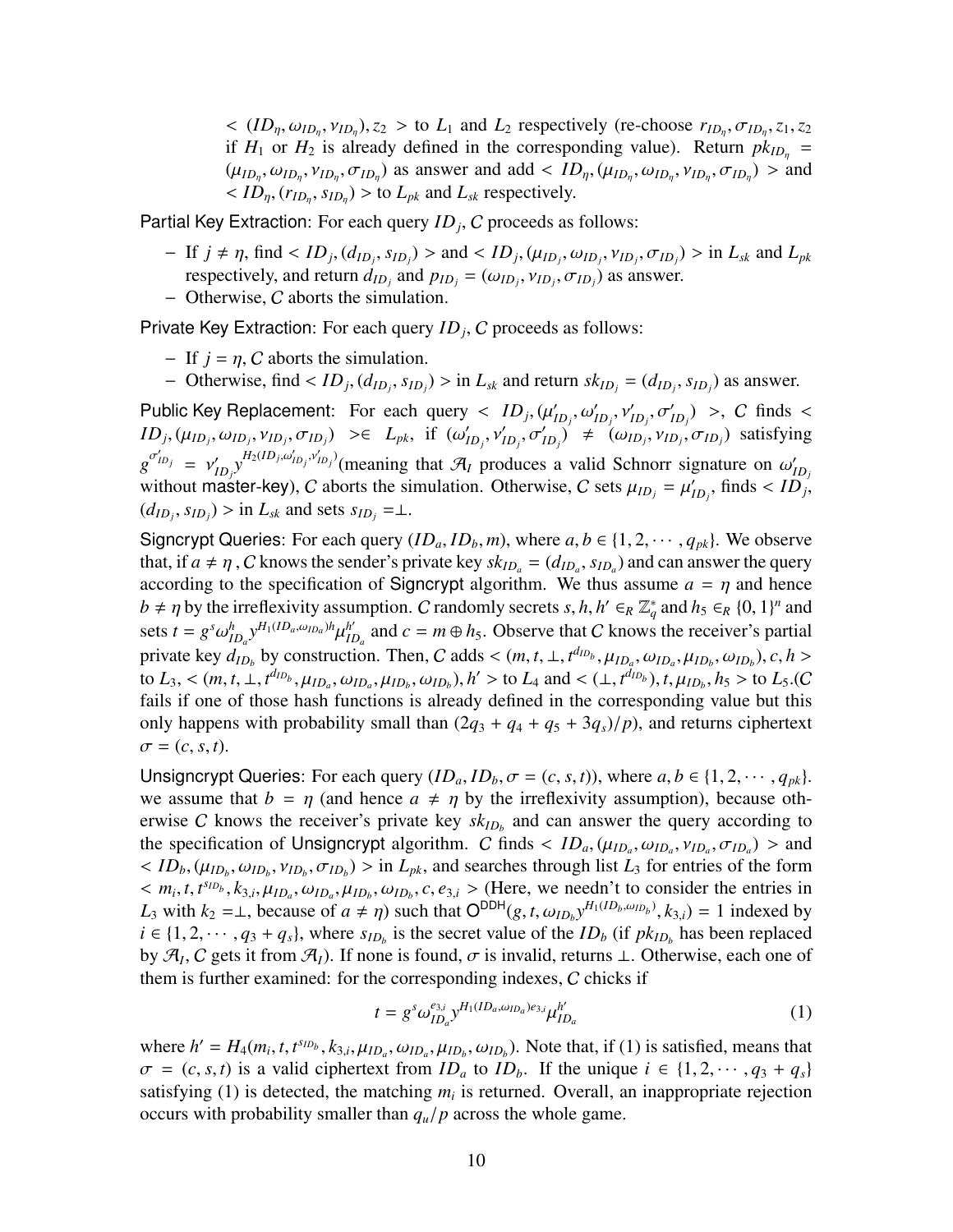$\langle (ID_{\eta}, \omega_{ID_{\eta}}, v_{ID_{\eta}}), z_2 \rangle$  to  $L_1$  and  $L_2$  respectively (re-choose  $r_{ID_{\eta}}, \sigma_{ID_{\eta}}, z_1, z_2$ if  $H_1$  or  $H_2$  is already defined in the corresponding value). Return  $pk_{ID_n}$  =  $(\mu_{ID_n}, \omega_{ID_n}, \nu_{ID_n}, \sigma_{ID_n})$  as answer and add <  $ID_n$ ,  $(\mu_{ID_n}, \omega_{ID_n}, \nu_{ID_n}, \sigma_{ID_n})$  > and  $\langle$  *ID*<sub>η</sub>,  $(r_{ID_n}, s_{ID_n})$  > to *L*<sub>*pk*</sub> and *L*<sub>*sk*</sub> respectively.

Partial Key Extraction: For each query *ID<sup>j</sup>* , C proceeds as follows:

- $-If$   $j \neq \eta$ , find <  $ID_j$ ,  $(d_{ID_j}, s_{ID_j})$  > and <  $ID_j$ ,  $(\mu_{ID_j}, \omega_{ID_j}, \nu_{ID_j}, \sigma_{ID_j})$  > in  $L_{sk}$  and  $L_{pk}$ respectively, and return  $d_{ID_j}$  and  $p_{ID_j} = (\omega_{ID_j}, \nu_{ID_j}, \sigma_{ID_j})$  as answer.
- − Otherwise, C aborts the simulation.

Private Key Extraction: For each query *ID<sup>j</sup>* , C proceeds as follows:

- $-$  If  $j = \eta$ , C aborts the simulation.
- Otherwise, find <  $ID_j$ ,  $(d_{ID_j}, s_{ID_j})$  > in  $L_{sk}$  and return  $sk_{ID_j} = (d_{ID_j}, s_{ID_j})$  as answer.

Public Key Replacement: For each query  $\langle ID_j, (\mu'_j)\rangle$  $I_{ID_j}, \omega'_{ID_j}, \nu'_{ID_j}, \sigma'_{ID_j}$  >, C finds <  $ID_j$ ,  $(\mu_{ID_j}, \omega_{ID_j}, \nu_{ID_j}, \sigma_{ID_j}) \geq \in L_{pk}$ , if  $(\omega'_j)$  $\left(\omega_{ID_j}, v'_{ID_j}, \sigma'_{ID_j}\right)' \neq \left(\omega_{ID_j}, v_{ID_j}, \sigma_{ID_j}\right)$  satisfying  $g^{\sigma'_{ID_j}} = v'_j$  $\sum_{ID_j} y^{H_2(ID_j, \omega'_{ID_j}, \nu'_{ID_j})}$  (meaning that  $\mathcal{A}_I$  produces a valid Schnorr signature on  $\omega'_I$ *ID<sup>j</sup>* without master-key), C aborts the simulation. Otherwise, C sets  $\mu_{ID_j} = \mu'_I$  $I_{ID_j}$ , finds <  $ID_j$ ,  $(d_{ID_j}, s_{ID_j})$  > in  $L_{sk}$  and sets  $s_{ID_j} = \perp$ .

Signcrypt Queries: For each query  $(ID_a, ID_b, m)$ , where  $a, b \in \{1, 2, \dots, q_{pk}\}$ . We observe that, if  $a \neq \eta$ , C knows the sender's private key  $sk_{ID_a} = (d_{ID_a}, s_{ID_a})$  and can answer the query according to the specification of Signcrypt algorithm. We thus assume  $a = \eta$  and hence  $b \neq \eta$  by the irreflexivity assumption. C randomly secrets *s*, *h*,  $h' \in_R \mathbb{Z}_q^*$  and  $h_5 \in_R \{0, 1\}^n$  and sets  $t = g^s \omega_{ID_a}^h y^{H_1(ID_a, \omega_{ID_a})^h} \mu_{II}^{h'}$  $I_{ID_a}^{h'}$  and  $c = m \oplus h_5$ . Observe that C knows the receiver's partial private key  $d_{ID_b}$  by construction. Then, C adds <  $(m, t, \perp, t^{d_{ID_b}}, \mu_{ID_a}, \omega_{ID_a}, \mu_{ID_b}, \omega_{ID_b})$ , c, h > to  $L_3$ , <  $(m, t, \perp, t^{d_{ID_b}}, \mu_{ID_a}, \omega_{ID_a}, \mu_{ID_b}, \omega_{ID_b}), h' >$  to  $L_4$  and <  $(\perp, t^{d_{ID_b}}), t, \mu_{ID_b}, h_5 >$  to  $L_5$ .(C fails if one of those hash functions is already defined in the corresponding value but this only happens with probability small than  $(2q_3 + q_4 + q_5 + 3q_s)/p$ , and returns ciphertext  $\sigma = (c, s, t).$ 

Unsigncrypt Queries: For each query  $(ID_a, ID_b, \sigma = (c, s, t))$ , where  $a, b \in \{1, 2, \cdots, q_{pk}\}.$ we assume that  $b = \eta$  (and hence  $a \neq \eta$  by the irreflexivity assumption), because otherwise C knows the receiver's private key  $sk_{ID_b}$  and can answer the query according to the specification of Unsigncrypt algorithm. C finds  $\langle ID_a, (\mu_{ID_a}, \omega_{ID_a}, \nu_{ID_a}, \sigma_{ID_a}) \rangle$  and  $\langle$  *ID*<sub>*b*</sub>, ( $\mu_{ID_b}$ ,  $\omega_{ID_b}$ ,  $\nu_{ID_b}$ ,  $\sigma_{ID_b}$ ) > in *L<sub>pk</sub>*, and searches through list *L*<sub>3</sub> for entries of the form  $m_i, t, t^{s_{ID_b}}, k_{3,i}, \mu_{ID_a}, \omega_{ID_a}, \mu_{ID_b}, \omega_{ID_b}, c, e_{3,i}$  > (Here, we needn't to consider the entries in *L*<sub>3</sub> with  $k_2 = \perp$ , because of  $a \neq \eta$ ) such that  $O^{DDH}(g, t, \omega_{ID_b} y^{H_1(ID_b, \omega_{ID_b})}, k_{3,i}) = 1$  indexed by  $i \in \{1, 2, \dots, q_3 + q_s\}$ , where  $s_{ID_b}$  is the secret value of the  $ID_b$  (if  $pk_{ID_b}$  has been replaced by  $\mathcal{A}_I$ , C gets it from  $\mathcal{A}_I$ ). If none is found,  $\sigma$  is invalid, returns  $\perp$ . Otherwise, each one of them is further examined: for the corresponding indexes, C chicks if

$$
t = g^s \omega_{ID_a}^{e_{3,i}} y^{H_1(ID_a, \omega_{ID_a})e_{3,i}} \mu_{ID_a}^{h'} \tag{1}
$$

where  $h' = H_4(m_i, t, t^{s_{ID_b}}, k_{3,i}, \mu_{ID_a}, \omega_{ID_a}, \mu_{ID_b}, \omega_{ID_b})$ . Note that, if (1) is satisfied, means that  $\sigma = (c, s, t)$  is a valid ciphertext from  $ID_a$  to  $ID_b$ . If the unique  $i \in \{1, 2, \dots, q_3 + q_s\}$ satisfying (1) is detected, the matching  $m_i$  is returned. Overall, an inappropriate rejection occurs with probability smaller than *qu*/*p* across the whole game.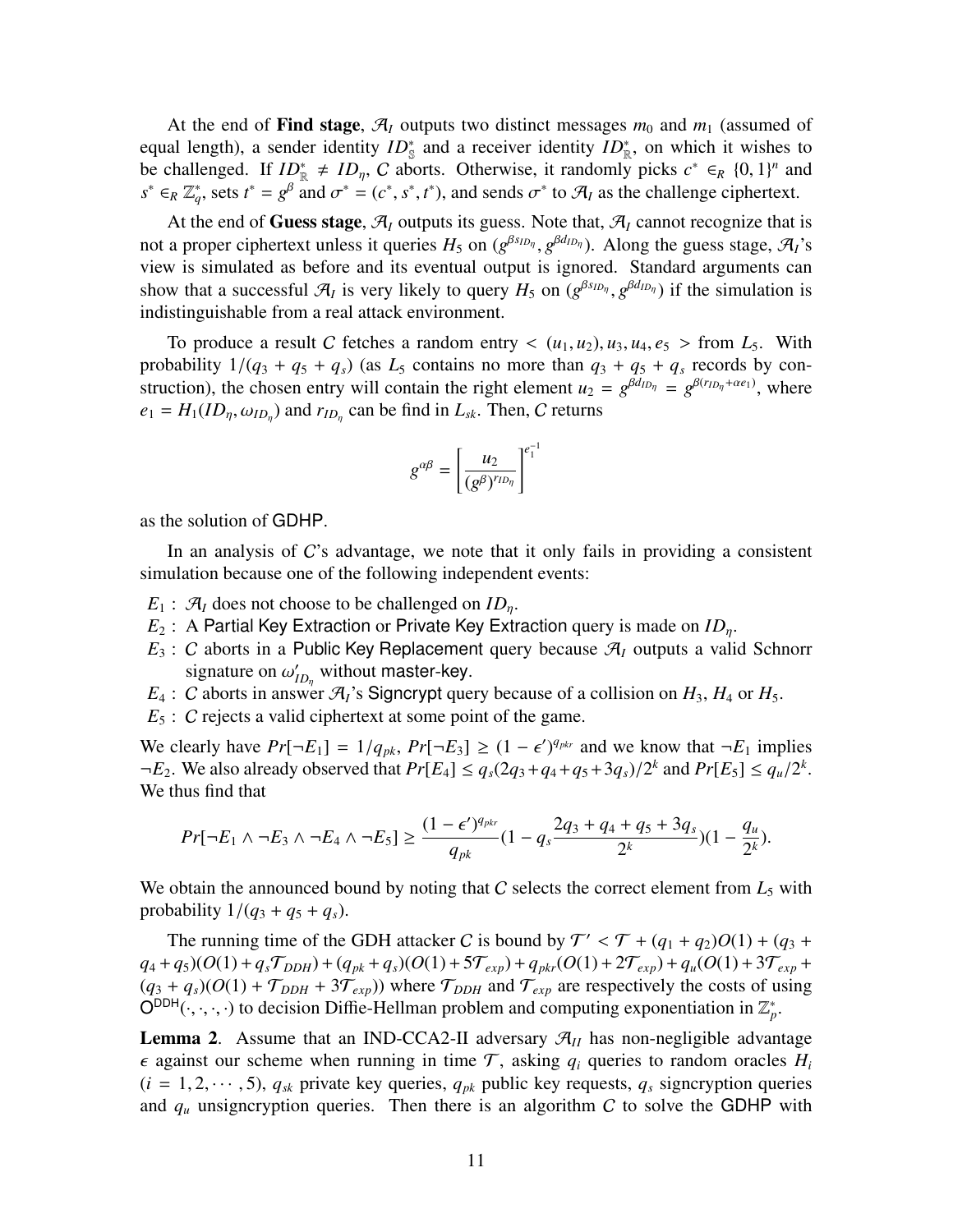At the end of Find stage,  $\mathcal{A}_I$  outputs two distinct messages  $m_0$  and  $m_1$  (assumed of equal length), a sender identity  $ID_{\mathbb{S}}^*$  and a receiver identity  $ID_{\mathbb{R}}^*$ , on which it wishes to be challenged. If  $ID_{\mathbb{R}}^* \neq ID_{\eta}$ , C aborts. Otherwise, it randomly picks  $c^* \in_R \{0,1\}^n$  and  $s^* \in_R \mathbb{Z}_q^*$ , sets  $t^* = g^{\beta}$  and  $\sigma^* = (c^*, s^*, t^*)$ , and sends  $\sigma^*$  to  $\mathcal{A}_I$  as the challenge ciphertext.

At the end of Guess stage,  $\mathcal{A}_I$  outputs its guess. Note that,  $\mathcal{A}_I$  cannot recognize that is not a proper ciphertext unless it queries  $H_5$  on ( $g^{\beta \delta I D \eta}$ ,  $g^{\beta d I D \eta}$ ). Along the guess stage,  $\mathcal{A}_I$ 's view is simulated as before and its eventual output is ignored. Standard arguments can show that a successful  $\mathcal{A}_I$  is very likely to query  $H_5$  on  $(g^{\beta s_{ID_\eta}}, g^{\beta d_{ID_\eta}})$  if the simulation is indistinguishable from a real attack environment.

To produce a result C fetches a random entry  $\langle (u_1, u_2), u_3, u_4, e_5 \rangle$  from  $L_5$ . With probability  $1/(q_3 + q_5 + q_s)$  (as  $L_5$  contains no more than  $q_3 + q_5 + q_s$  records by construction), the chosen entry will contain the right element  $u_2 = g^{\beta d_{ID_\eta}} = g^{\beta(r_{ID_\eta} + \alpha e_1)}$ , where  $e_1 = H_1(ID_\eta, \omega_{ID_\eta})$  and  $r_{ID_\eta}$  can be find in  $L_{sk}$ . Then, C returns

$$
g^{\alpha\beta}=\left[\frac{u_2}{(g^\beta)^{r_{ID_\eta}}}\right]^{e_1^{-1}}
$$

as the solution of GDHP.

In an analysis of C's advantage, we note that it only fails in providing a consistent simulation because one of the following independent events:

- $E_1$ :  $\mathcal{A}_I$  does not choose to be challenged on  $ID_n$ .
- *E*<sub>2</sub> : A Partial Key Extraction or Private Key Extraction query is made on *ID*<sub>*n*</sub>.
- $E_3$ : C aborts in a Public Key Replacement query because  $\mathcal{A}_I$  outputs a valid Schnorr signature on  $\omega'_l$  $\mathcal{I}_{ID_{\eta}}$  without master-key.
- $E_4$ : *C* aborts in answer  $\mathcal{A}_I$ 's Signcrypt query because of a collision on  $H_3$ ,  $H_4$  or  $H_5$ .
- *E*<sub>5</sub> : *C* rejects a valid ciphertext at some point of the game.

We clearly have  $Pr[\neg E_1] = 1/q_{pk}, Pr[\neg E_3] \ge (1 - \epsilon')^{q_{pkr}}$  and we know that  $\neg E_1$  implies  $\neg E_2$ . We also already observed that  $Pr[E_4] \le q_s(2q_3 + q_4 + q_5 + 3q_s)/2^k$  and  $Pr[E_5] \le q_u/2^k$ . We thus find that

$$
Pr[\neg E_1 \land \neg E_3 \land \neg E_4 \land \neg E_5] \geq \frac{(1-\epsilon')^{q_{pkr}}}{q_{pk}}(1-q_s\frac{2q_3+q_4+q_5+3q_s}{2^k})(1-\frac{q_u}{2^k}).
$$

We obtain the announced bound by noting that  $C$  selects the correct element from  $L_5$  with probability  $1/(q_3 + q_5 + q_s)$ .

The running time of the GDH attacker C is bound by  $T' < T + (q_1 + q_2)O(1) + (q_3 + q_4)O(1)$  $q_4 + q_5$  $(O(1) + q_sT_{DDH}) + (q_{pk} + q_s)(O(1) + 5T_{exp}) + q_{pkr}(O(1) + 2T_{exp}) + q_u(O(1) + 3T_{exp})$  $(q_3 + q_s)(O(1) + \mathcal{T}_{DDH} + 3\mathcal{T}_{exp})$  where  $\mathcal{T}_{DDH}$  and  $\mathcal{T}_{exp}$  are respectively the costs of using  $O^{DDH}(\cdot,\cdot,\cdot,\cdot)$  to decision Diffie-Hellman problem and computing exponentiation in  $\mathbb{Z}_p^*$ .

**Lemma 2.** Assume that an IND-CCA2-II adversary  $\mathcal{A}_{II}$  has non-negligible advantage  $\epsilon$  against our scheme when running in time  $\mathcal{T}$ , asking  $q_i$  queries to random oracles  $H_i$  $(i = 1, 2, \dots, 5)$ ,  $q_{sk}$  private key queries,  $q_{pk}$  public key requests,  $q_s$  signcryption queries and  $q_\mu$  unsigncryption queries. Then there is an algorithm C to solve the GDHP with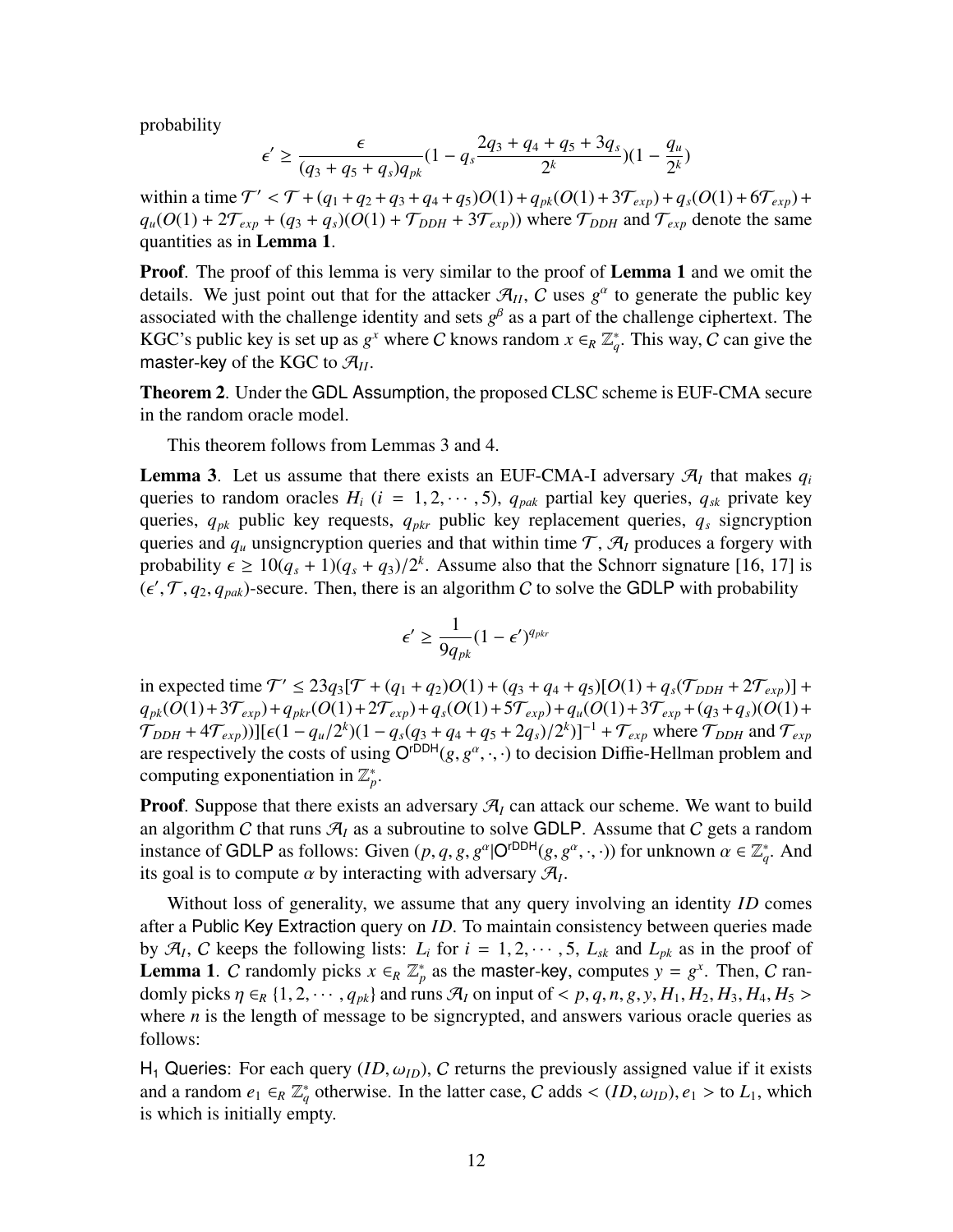probability

$$
\epsilon' \ge \frac{\epsilon}{(q_3+q_5+q_s)q_{pk}}(1-q_s\frac{2q_3+q_4+q_5+3q_s}{2^k})(1-\frac{q_u}{2^k})
$$

within a time  $T' < T + (q_1 + q_2 + q_3 + q_4 + q_5)O(1) + q_{pk}(O(1) + 3\mathcal{T}_{exp}) + q_s(O(1) + 6\mathcal{T}_{exp}) +$  $q_u(O(1) + 2\mathcal{T}_{exp} + (q_3 + q_s)(O(1) + \mathcal{T}_{DDH} + 3\mathcal{T}_{exp})$  where  $\mathcal{T}_{DDH}$  and  $\mathcal{T}_{exp}$  denote the same quantities as in Lemma 1.

**Proof.** The proof of this lemma is very similar to the proof of **Lemma 1** and we omit the details. We just point out that for the attacker  $\mathcal{A}_{II}$ , C uses  $g^{\alpha}$  to generate the public key associated with the challenge identity and sets  $g^{\beta}$  as a part of the challenge ciphertext. The KGC's public key is set up as  $g^x$  where C knows random  $x \in_R \mathbb{Z}_q^*$ . This way, C can give the master-key of the KGC to  $\mathcal{A}_{II}$ .

Theorem 2. Under the GDL Assumption, the proposed CLSC scheme is EUF-CMA secure in the random oracle model.

This theorem follows from Lemmas 3 and 4.

**Lemma 3.** Let us assume that there exists an EUF-CMA-I adversary  $\mathcal{A}_I$  that makes  $q_i$ queries to random oracles  $H_i$  ( $i = 1, 2, \dots, 5$ ),  $q_{pak}$  partial key queries,  $q_{sk}$  private key queries, *qpk* public key requests, *qpkr* public key replacement queries, *q<sup>s</sup>* signcryption queries and  $q_u$  unsigncryption queries and that within time  $\mathcal{T}, \mathcal{A}_I$  produces a forgery with probability  $\epsilon \geq 10(q_s + 1)(q_s + q_3)/2^k$ . Assume also that the Schnorr signature [[16](#page-16-11), [17\]](#page-16-12) is  $(\epsilon', \mathcal{T}, q_2, q_{pak})$ -secure. Then, there is an algorithm C to solve the GDLP with probability

$$
\epsilon' \ge \frac{1}{9q_{pk}}(1-\epsilon')^{q_{pk}}
$$

in expected time  $T' \le 23q_3[T + (q_1 + q_2)O(1) + (q_3 + q_4 + q_5)[O(1) + q_s(T_{DDH} + 2T_{exp})] +$  $q_{pk}(O(1) + 3\mathcal{T}_{exp}) + q_{pkr}(O(1) + 2\mathcal{T}_{exp}) + q_s(O(1) + 5\mathcal{T}_{exp}) + q_u(O(1) + 3\mathcal{T}_{exp} + (q_3 + q_s)(O(1) + 3\mathcal{T}_{exp})$  $(\mathcal{T}_{DDH} + 4\mathcal{T}_{exp}))$ ][ $\epsilon(1 - q_u/2^k)(1 - q_s(q_3 + q_4 + q_5 + 2q_s)/2^k)$ ]<sup>-1</sup> +  $\mathcal{T}_{exp}$  where  $\mathcal{T}_{DDH}$  and  $\mathcal{T}_{exp}$ are respectively the costs of using  $O^{rDDH}(g, g^{\alpha}, \cdot, \cdot)$  to decision Diffie-Hellman problem and computing exponentiation in  $\mathbb{Z}_p^*$ .

**Proof.** Suppose that there exists an adversary  $\mathcal{A}_I$  can attack our scheme. We want to build an algorithm C that runs  $\mathcal{A}_I$  as a subroutine to solve GDLP. Assume that C gets a random instance of GDLP as follows: Given  $(p, q, g, g^{\alpha} | O^{rDDH}(g, g^{\alpha}, \cdot, \cdot))$  for unknown  $\alpha \in \mathbb{Z}_q^*$ . And its goal is to compute  $\alpha$  by interacting with adversary  $\mathcal{A}_I$ .

Without loss of generality, we assume that any query involving an identity *ID* comes after a Public Key Extraction query on *ID*. To maintain consistency between queries made by  $\mathcal{A}_I$ , C keeps the following lists:  $L_i$  for  $i = 1, 2, \dots, 5$ ,  $L_{sk}$  and  $L_{pk}$  as in the proof of **Lemma 1.** C randomly picks  $x \in_R \mathbb{Z}_p^*$  as the master-key, computes  $y = g^x$ . Then, C randomly picks *η* ∈*R* {1, 2, · · · , *q<sub>pk</sub>*} and runs *A<sub>I</sub>* on input of < *p*, *q*, *n*, *g*, *y*, *H*<sub>1</sub>, *H*<sub>2</sub>, *H*<sub>3</sub>, *H*<sub>4</sub>, *H*<sub>5</sub> > where *n* is the length of message to be signcrypted, and answers various oracle queries as follows:

H<sub>1</sub> Queries: For each query  $(ID, \omega_{ID})$ , C returns the previously assigned value if it exists and a random  $e_1 \in_R \mathbb{Z}_q^*$  otherwise. In the latter case, C adds <  $(ID, \omega_{ID}), e_1 >$  to  $L_1$ , which is which is initially empty.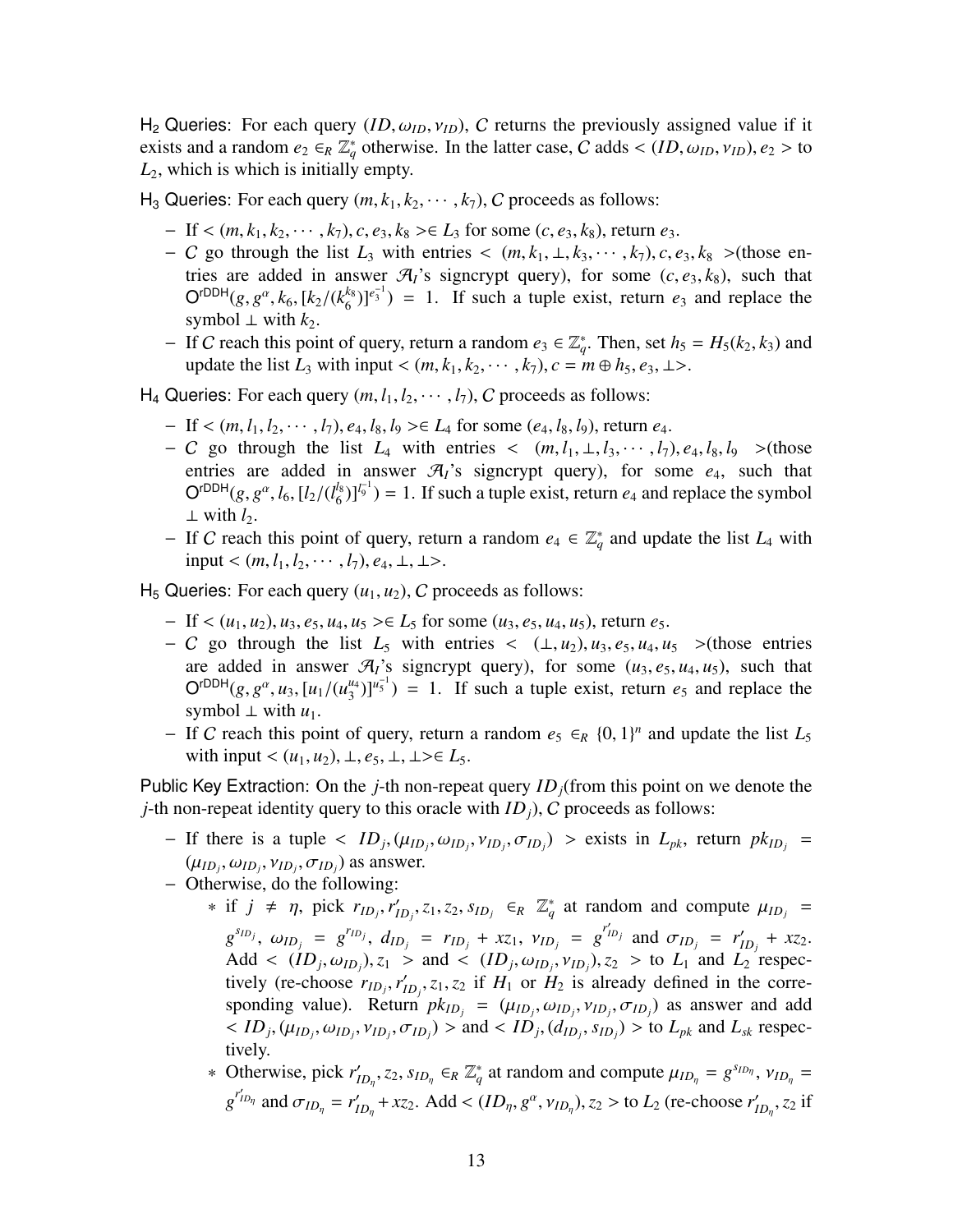H<sub>2</sub> Queries: For each query  $(ID, \omega_{ID}, \nu_{ID})$ , C returns the previously assigned value if it exists and a random  $e_2 \in_R \mathbb{Z}_q^*$  otherwise. In the latter case, C adds <  $(ID, \omega_{ID}, \nu_{ID}), e_2 >$  to *L*2, which is which is initially empty.

H<sub>3</sub> Queries: For each query  $(m, k_1, k_2, \dots, k_7)$ , C proceeds as follows:

- − If <  $(m, k_1, k_2, \cdots, k_7)$ ,  $c, e_3, k_8 > \in L_3$  for some  $(c, e_3, k_8)$ , return  $e_3$ .
- − C go through the list  $L_3$  with entries <  $(m, k_1, \perp, k_3, \cdots, k_7)$ ,  $c, e_3, k_8 >$  (those entries are added in answer  $\mathcal{A}_I$ 's signcrypt query), for some  $(c, e_3, k_8)$ , such that  $\mathsf{O}^{\mathsf{rDDH}}(g, g^{\alpha}, k_6, [k_2/(k_6^{k_8}))$  ${k_6 \choose 6}$  $|e_3^{-1}|$  = 1. If such a tuple exist, return  $e_3$  and replace the symbol  $\perp$  with  $k_2$ .
- − If *C* reach this point of query, return a random  $e_3 \n∈ \mathbb{Z}_q^*$ . Then, set  $h_5 = H_5(k_2, k_3)$  and update the list  $L_3$  with input <  $(m, k_1, k_2, \dots, k_7)$ ,  $c = m \oplus h_5$ ,  $e_3$ ,  $\perp$ >.
- H<sub>4</sub> Queries: For each query  $(m, l_1, l_2, \dots, l_7)$ , C proceeds as follows:
	- − If < (*m*, *l*1, *l*2, · · · , *l*7), *e*4, *l*8, *l*<sup>9</sup> >∈ *L*<sup>4</sup> for some (*e*4, *l*8, *l*9), return *e*4.
	- $-C$  go through the list  $L_4$  with entries  $\langle (m, l_1, \perp, l_3, \cdots, l_7), e_4, l_8, l_9 \rangle$  >(those entries are added in answer  $\mathcal{A}_I$ 's signcrypt query), for some  $e_4$ , such that  $O^{rDDH}(g, g^{\alpha}, l_6, [l_2/(l_6^{l_8}))$  $\binom{l_8}{6}$ ]<sup> $l_9^{-1}$ </sup>) = 1. If such a tuple exist, return  $e_4$  and replace the symbol ⊥ with  $l_2$ .
	- − If *C* reach this point of query, return a random  $e_4 \text{ } \in \mathbb{Z}_q^*$  and update the list  $L_4$  with input <  $(m, l_1, l_2, \cdots, l_7), e_4, \perp, \perp$ >.

 $H_5$  Queries: For each query  $(u_1, u_2)$ , C proceeds as follows:

- − If < (*u*1, *u*2), *u*3, *e*5, *u*4, *u*<sup>5</sup> >∈ *L*<sup>5</sup> for some (*u*3, *e*5, *u*4, *u*5), return *e*5.
- $-C$  go through the list  $L_5$  with entries <  $(\perp, u_2), u_3, e_5, u_4, u_5$  >(those entries are added in answer  $\mathcal{A}_I$ 's signcrypt query), for some  $(u_3, e_5, u_4, u_5)$ , such that  $O<sup>rDDH</sup>(g, g<sup>\alpha</sup>, u<sub>3</sub>, [u<sub>1</sub>/(u<sub>3</sub><sup>u<sub>4</sub></sup>)$  $\binom{u_4}{3}$ <sup>u<sub>4</sub></sub><sup>1</sup>) = 1. If such a tuple exist, return *e*<sub>5</sub> and replace the</sup> symbol  $\perp$  with  $u_1$ .
- − If C reach this point of query, return a random  $e_5 \n∈_R {0, 1}^n$  and update the list  $L_5$ with input <  $(u_1, u_2)$ ,  $\perp$ ,  $e_5$ ,  $\perp$ ,  $\perp > \in L_5$ .

Public Key Extraction: On the *j*-th non-repeat query *IDj*(from this point on we denote the *j*-th non-repeat identity query to this oracle with *ID<sub>i</sub>*), *C* proceeds as follows:

- $-$  If there is a tuple  $\langle ID_j, (\mu_{ID_j}, \nu_{ID_j}, \nu_{ID_j}, \sigma_{ID_j}) \rangle$  > exists in  $L_{pk}$ , return  $pk_{ID_j}$  =  $(\mu_{ID_j}, \omega_{ID_j}, \nu_{ID_j}, \sigma_{ID_j})$  as answer.
- − Otherwise, do the following:
	- $*$  if *j* ≠ *η*, pick *r*<sub>*ID<sub>j</sub></sub>, r'<sub><i>I*</sub></sub></sub>  $I_{ID_j}$ ,  $z_1$ ,  $z_2$ ,  $s_{ID_j}$   $\in$   $\mathbb{Z}_q^*$  at random and compute  $\mu_{ID_j}$  =  $g^{s_{IDj}}$ ,  $\omega_{ID_j} = g^{r_{IDj}}$ ,  $d_{ID_j} = r_{ID_j} + xz_1$ ,  $v_{ID_j} = g^{r'_{IDj}}$  and  $\sigma_{ID_j} = r'_l$  $I_{ID_j}$  + *xz*<sub>2</sub>. Add  $\langle$  (*ID*<sub>*j*</sub>,  $\omega_{ID_j}$ ),  $z_1$   $>$  and  $\langle$  (*ID*<sub>*j*</sub>,  $\omega_{ID_j}$ ,  $\nu_{ID_j}$ ),  $z_2$   $>$  to  $L_1$  and  $L_2$  respectively (re-choose  $r_{ID_j}, r'_I$  $I_{ID_j}$ ,  $z_1$ ,  $z_2$  if  $H_1$  or  $H_2$  is already defined in the corresponding value). Return  $pk_{ID_j} = (\mu_{ID_j}, \omega_{ID_j}, \nu_{ID_j}, \sigma_{ID_j})$  as answer and add  $$  and  $$  to  $L_{pk}$  and  $L_{sk}$  respectively.
	- ∗ Otherwise, pick *r* ′  $I_{ID_n}$ ,  $z_2$ ,  $s_{ID_n} \in_R \mathbb{Z}_q^*$  at random and compute  $\mu_{ID_n} = g^{s_{ID_n}}$ ,  $v_{ID_n} = g^{s_{ID_n}}$  $g^{r'_{ID_{\eta}}}$  and  $\sigma_{ID_{\eta}} = r'_{I}$  $I_{ID_{\eta}}$  + *xz*<sub>2</sub>. Add <  $(ID_{\eta}, g^{\alpha}, v_{ID_{\eta}}), z_{2} >$  to  $L_{2}$  (re-choose  $r'_{I}$  $I_{ID_{\eta}}$ , *z*<sub>2</sub> if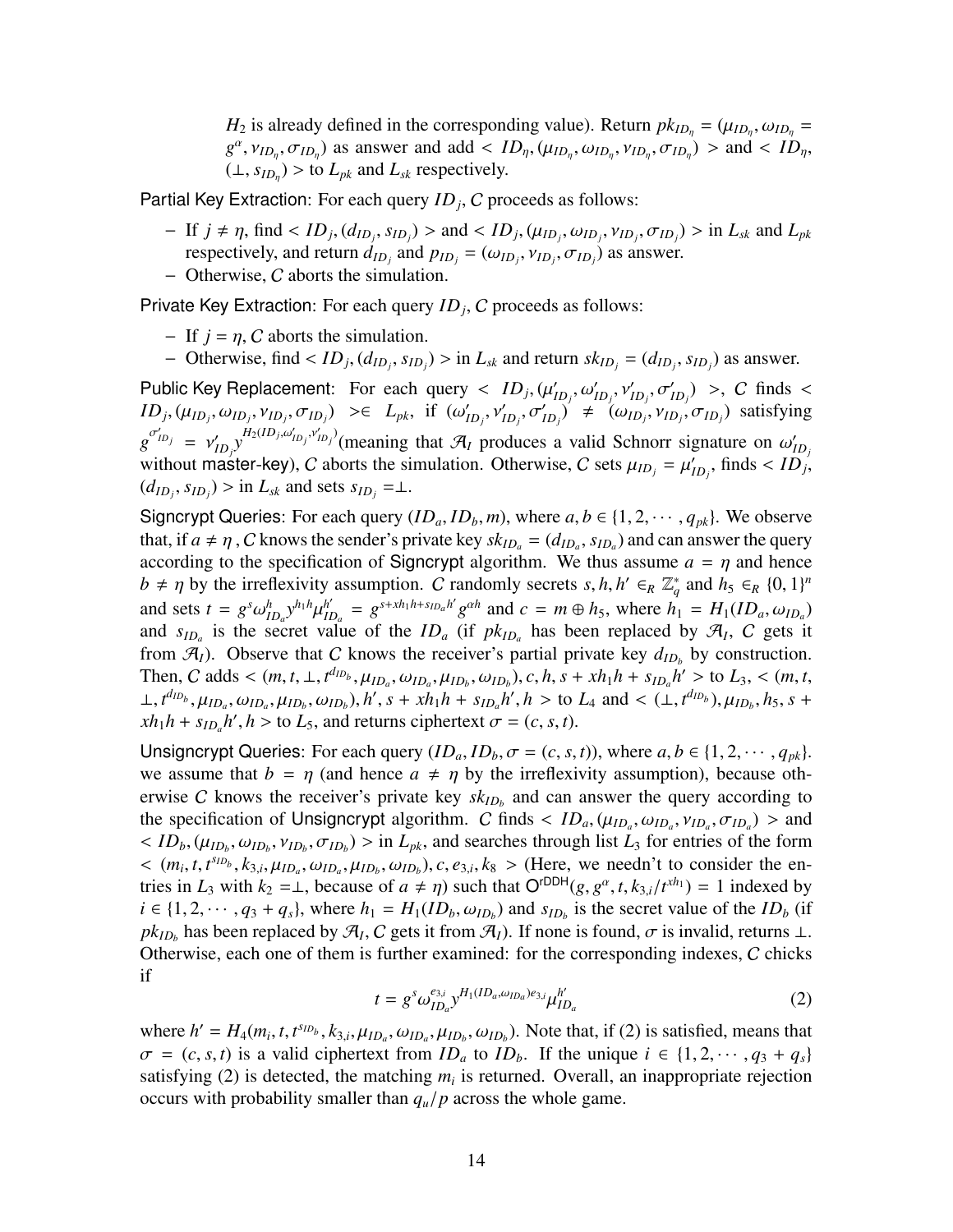*H*<sub>2</sub> is already defined in the corresponding value). Return  $pk_{ID_{\eta}} = (\mu_{ID_{\eta}}, \omega_{ID_{\eta}})$  $g^{\alpha}$ ,  $v_{ID_{\eta}}$ ,  $\sigma_{ID_{\eta}}$ ) as answer and add <  $ID_{\eta}$ ,  $(\mu_{ID_{\eta}}, \omega_{ID_{\eta}}, \nu_{ID_{\eta}}, \sigma_{ID_{\eta}})$  > and <  $ID_{\eta}$ ,  $(L, s_{ID_n})$  > to  $L_{pk}$  and  $L_{sk}$  respectively.

Partial Key Extraction: For each query *ID<sup>j</sup>* , C proceeds as follows:

- $-If$   $j \neq \eta$ , find <  $ID_j$ ,  $(d_{ID_j}, s_{ID_j})$  > and <  $ID_j$ ,  $(\mu_{ID_j}, \omega_{ID_j}, v_{ID_j}, \sigma_{ID_j})$  > in  $L_{sk}$  and  $L_{pk}$ respectively, and return  $d_{ID_j}$  and  $p_{ID_j} = (\omega_{ID_j}, \nu_{ID_j}, \sigma_{ID_j})$  as answer.
- − Otherwise, C aborts the simulation.

Private Key Extraction: For each query *ID<sup>j</sup>* , C proceeds as follows:

- $-$  If  $j = \eta$ , C aborts the simulation.
- Otherwise, find <  $ID_j$ ,  $(d_{ID_j}, s_{ID_j})$  > in  $L_{sk}$  and return  $sk_{ID_j} = (d_{ID_j}, s_{ID_j})$  as answer.

Public Key Replacement: For each query  $\langle ID_j, (\mu'_j)\rangle$  $I_{ID_j}, \omega'_{ID_j}, \nu'_{ID_j}, \sigma'_{ID_j}$  >, C finds <  $ID_j$ ,  $(\mu_{ID_j}, \omega_{ID_j}, \nu_{ID_j}, \sigma_{ID_j}) \geq \in L_{pk}$ , if  $(\omega'_i)$  $\left(\omega_{ID_j}, v'_{ID_j}, \sigma'_{ID_j}\right)' \neq \left(\omega_{ID_j}, v_{ID_j}, \sigma_{ID_j}\right)$  satisfying  $g^{\sigma'_{ID_j}} = v'_j$  $\sum_{ID_j} y^{H_2(ID_j, \omega'_{ID_j}, \nu'_{ID_j})}$  (meaning that  $\mathcal{A}_I$  produces a valid Schnorr signature on  $\omega'_I$ *ID<sup>j</sup>* without master-key), C aborts the simulation. Otherwise, C sets  $\mu_{ID_j} = \mu'_I$  $I_{ID_j}$ , finds <  $ID_j$ ,  $(d_{ID_j}, s_{ID_j})$  > in  $L_{sk}$  and sets  $s_{ID_j} = \perp$ .

Signcrypt Queries: For each query  $(ID_a, ID_b, m)$ , where  $a, b \in \{1, 2, \dots, q_{pk}\}$ . We observe that, if  $a \neq \eta$ , C knows the sender's private key  $sk_{ID_a} = (d_{ID_a}, s_{ID_a})$  and can answer the query according to the specification of Signcrypt algorithm. We thus assume  $a = \eta$  and hence  $b \neq \eta$  by the irreflexivity assumption. C randomly secrets *s*, *h*,  $h' \in_R \mathbb{Z}_q^*$  and  $h_5 \in_R \{0, 1\}^n$ and sets  $t = g^s \omega_{ID_a}^h y^{h_1 h} \mu_{II}^{h'}$  $I_{ID_a}^{h'} = g^{s + xh_1h + s_{ID_a}h'} g^{\alpha h}$  and  $c = m \oplus h_5$ , where  $h_1 = H_1(ID_a, \omega_{ID_a})$ and  $s_{ID_a}$  is the secret value of the  $ID_a$  (if  $pk_{ID_a}$  has been replaced by  $\mathcal{A}_I$ , C gets it from  $\mathcal{A}_I$ ). Observe that C knows the receiver's partial private key  $d_{ID_b}$  by construction. Then, C adds <  $(m, t, \perp, t^{d_{ID_b}}, \mu_{ID_a}, \omega_{ID_a}, \mu_{ID_b}, \omega_{ID_b})$ ,  $c, h, s + xh_1h + s_{ID_a}h' >$  to  $L_3,$  <  $(m, t,$  $\perp$ ,  $t^{d_{ID_b}}, \mu_{ID_a}, \omega_{ID_a}, \mu_{ID_b}, \omega_{ID_b}), h', s + xh_1h + s_{ID_a}h', h >$  to  $L_4$  and  $\lt (\perp, t^{d_{ID_b}}), \mu_{ID_b}, h_5, s +$  $xh_1h + s_{ID_a}h', h >$  to  $L_5$ , and returns ciphertext  $\sigma = (c, s, t)$ .

Unsigncrypt Queries: For each query  $(ID_a, ID_b, \sigma = (c, s, t))$ , where  $a, b \in \{1, 2, \cdots, q_{pk}\}.$ we assume that  $b = \eta$  (and hence  $a \neq \eta$  by the irreflexivity assumption), because otherwise C knows the receiver's private key  $sk_{ID_b}$  and can answer the query according to the specification of Unsigncrypt algorithm. C finds  $\langle ID_a, (\mu_{ID_a}, \omega_{ID_a}, \nu_{ID_a}, \sigma_{ID_a}) \rangle$  and  $\langle$  *ID*<sub>*b*</sub>, ( $\mu_{ID_b}$ ,  $\omega_{ID_b}$ ,  $\nu_{ID_b}$ ,  $\sigma_{ID_b}$ ) > in *L<sub>pk</sub>*, and searches through list *L*<sub>3</sub> for entries of the form  $<$   $(m_i, t, t^{s_{ID_b}}, k_{3,i}, \mu_{ID_a}, \omega_{ID_a}, \mu_{ID_b}, \omega_{ID_b}), c, e_{3,i}, k_8 >$  (Here, we needn't to consider the entries in  $L_3$  with  $k_2 = \perp$ , because of  $a \neq \eta$ ) such that  $O^{rDDH}(g, g^{\alpha}, t, k_{3,i}/t^{xh_1}) = 1$  indexed by  $i \in \{1, 2, \dots, q_3 + q_s\}$ , where  $h_1 = H_1(ID_b, \omega_{ID_b})$  and  $s_{ID_b}$  is the secret value of the *ID<sub>b</sub>* (if  $pk_{ID_b}$  has been replaced by  $\mathcal{A}_I$ , C gets it from  $\mathcal{A}_I$ ). If none is found,  $\sigma$  is invalid, returns ⊥. Otherwise, each one of them is further examined: for the corresponding indexes, C chicks if

$$
t = g^s \omega_{ID_a}^{e_{3,i}} y^{H_1(ID_a, \omega_{ID_a})e_{3,i}} \mu_{ID_a}^{h'} \tag{2}
$$

where  $h' = H_4(m_i, t, t^{s_{ID_b}}, k_{3,i}, \mu_{ID_a}, \omega_{ID_a}, \mu_{ID_b}, \omega_{ID_b})$ . Note that, if (2) is satisfied, means that  $\sigma = (c, s, t)$  is a valid ciphertext from *ID<sub>a</sub>* to *ID<sub>b</sub>*. If the unique  $i \in \{1, 2, \dots, q_3 + q_s\}$ satisfying (2) is detected, the matching  $m_i$  is returned. Overall, an inappropriate rejection occurs with probability smaller than *qu*/*p* across the whole game.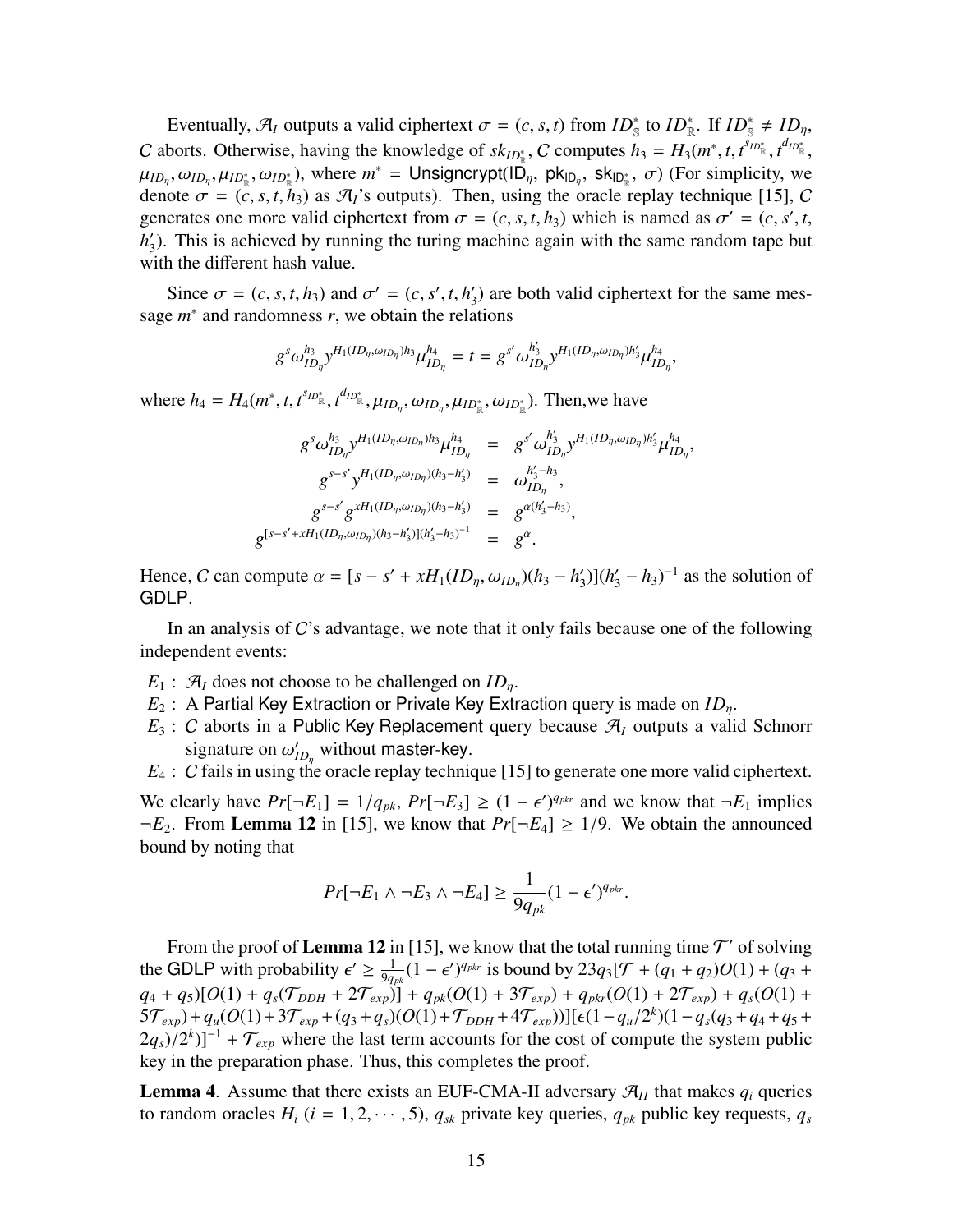Eventually,  $\mathcal{A}_I$  outputs a valid ciphertext  $\sigma = (c, s, t)$  from  $ID^*_{\mathbb{S}}$  to  $ID^*_{\mathbb{R}}$ . If  $ID^*_{\mathbb{S}} \neq ID_{\eta}$ , C aborts. Otherwise, having the knowledge of  $sk_{ID_{\mathbb{R}}^*}$ , C computes  $h_3 = H_3(m^*, t, t^{s_{ID_{\mathbb{R}}^*}}, t^{d_{ID_{\mathbb{R}}^*}})$  $\mu_{ID_{\eta}}, \omega_{ID_{\eta}}, \mu_{ID_{\mathbb{R}}^*}, \omega_{ID_{\mathbb{R}}^*}$ ), where  $m^* = \textsf{Unsigncrypt}(\hat{ID_{\eta}}, \textsf{pk}_{ID_{\eta}}, \textsf{sk}_{ID_{\mathbb{R}}^*}, \sigma)$  (For simplicity, we denote  $\sigma = (c, s, t, h_3)$  as  $\mathcal{A}_I$ 's outputs). Then, using the oracle replay technique [\[15](#page-16-13)], C generates one more valid ciphertext from  $\sigma = (c, s, t, h_3)$  which is named as  $\sigma' = (c, s', t, h_3)$ *h* ′ 3 ). This is achieved by running the turing machine again with the same random tape but with the different hash value.

Since  $\sigma = (c, s, t, h_3)$  and  $\sigma' = (c, s', t, h'_3)$  $\zeta_3$ ) are both valid ciphertext for the same message  $m^*$  and randomness  $r$ , we obtain the relations

$$
g^{s}\omega_{ID_{\eta}}^{h_{3}}y^{H_{1}(ID_{\eta},\omega_{ID_{\eta}})h_{3}}\mu_{ID_{\eta}}^{h_{4}}=t=g^{s'}\omega_{ID_{\eta}}^{h'_{3}}y^{H_{1}(ID_{\eta},\omega_{ID_{\eta}})h'_{3}}\mu_{ID_{\eta}}^{h_{4}},
$$

where  $h_4 = H_4(m^*, t, t^{s_{ID^*_{\mathbb{R}}}}, t^{d_{ID^*_{\mathbb{R}}}}, \mu_{ID_{\eta}}, \omega_{ID_{\eta}}, \mu_{ID^*_{\mathbb{R}}}, \omega_{ID^*_{\mathbb{R}}})$ . Then, we have

$$
g^{s} \omega_{ID_{\eta}}^{h_{3}} y^{H_{1}(ID_{\eta}, \omega_{ID_{\eta}})h_{3}} \mu_{ID_{\eta}}^{h_{4}} = g^{s'} \omega_{ID_{\eta}}^{h'_{3}} y^{H_{1}(ID_{\eta}, \omega_{ID_{\eta}})h'_{3}} \mu_{ID_{\eta}}^{h_{4}},
$$
  
\n
$$
g^{s-s'} y^{H_{1}(ID_{\eta}, \omega_{ID_{\eta}})(h_{3}-h'_{3})} = \omega_{ID_{\eta}}^{h'_{3}-h_{3}},
$$
  
\n
$$
g^{s-s'} g^{xH_{1}(ID_{\eta}, \omega_{ID_{\eta}})(h_{3}-h'_{3})} = g^{\alpha(h'_{3}-h_{3})},
$$
  
\n
$$
g^{[s-s'+xH_{1}(ID_{\eta}, \omega_{ID_{\eta}})(h_{3}-h'_{3})](h'_{3}-h_{3})^{-1}} = g^{\alpha}.
$$

Hence, C can compute  $\alpha = [s - s' + xH_1(ID_{\eta}, \omega_{ID_{\eta}})(h_3 - h'_3]$  $\binom{1}{3}$ ( $h'_3 - h_3$ )<sup>-1</sup> as the solution of GDLP.

In an analysis of  $C$ 's advantage, we note that it only fails because one of the following independent events:

- $E_1$ :  $\mathcal{A}_I$  does not choose to be challenged on  $ID_n$ .
- *E*<sub>2</sub> : A Partial Key Extraction or Private Key Extraction query is made on *ID*<sub>n</sub>.
- $E_3$ : C aborts in a Public Key Replacement query because  $\mathcal{A}_I$  outputs a valid Schnorr signature on  $\omega'_l$  $\mathcal{L}_{ID_{\eta}}$  without master-key.
- *E*<sub>4</sub> : *C* fails in using the oracle replay technique [[15\]](#page-16-13) to generate one more valid ciphertext.

We clearly have  $Pr[\neg E_1] = 1/q_{pk}, Pr[\neg E_3] \ge (1 - \epsilon')^{q_{pkr}}$  and we know that  $\neg E_1$  implies  $\neg E_2$ . From **Lemma 12** in [[15\]](#page-16-13), we know that  $Pr[\neg E_4] \ge 1/9$ . We obtain the announced bound by noting that

$$
Pr[\neg E_1 \land \neg E_3 \land \neg E_4] \ge \frac{1}{9q_{pk}}(1-\epsilon')^{q_{pk}}.
$$

From the proof of Lemma 12 in [\[15](#page-16-13)], we know that the total running time  $\mathcal{T}'$  of solving the GDLP with probability  $\epsilon' \geq \frac{1}{9a}$  $\frac{1}{9q_{pk}}(1 - \epsilon')^{q_{pkr}}$  is bound by 23 $q_3[\mathcal{T} + (q_1 + q_2)O(1) + (q_3 +$  $q_4 + q_5$ [O(1) +  $q_s$ ( $\mathcal{T}_{DDH}$  +  $2\mathcal{T}_{exp}$ ] +  $q_{pk}(O(1) + 3\mathcal{T}_{exp}) + q_{pk}(O(1) + 2\mathcal{T}_{exp}) + q_s(O(1) + 3\mathcal{T}_{exp})$  $5\mathcal{T}_{exp}$ )+ $q_u(O(1) + 3\mathcal{T}_{exp} + (q_3 + q_s)(O(1) + \mathcal{T}_{DDH} + 4\mathcal{T}_{exp}))$ ][ $\epsilon(1 - q_u/2^k)(1 - q_s(q_3 + q_4 + q_5 + q_s))$  $(2q_s)/2^k$ ]<sup>-1</sup> +  $\mathcal{T}_{exp}$  where the last term accounts for the cost of compute the system public key in the preparation phase. Thus, this completes the proof.

**Lemma 4.** Assume that there exists an EUF-CMA-II adversary  $\mathcal{A}_{II}$  that makes  $q_i$  queries to random oracles  $H_i$  ( $i = 1, 2, \dots, 5$ ),  $q_{sk}$  private key queries,  $q_{pk}$  public key requests,  $q_s$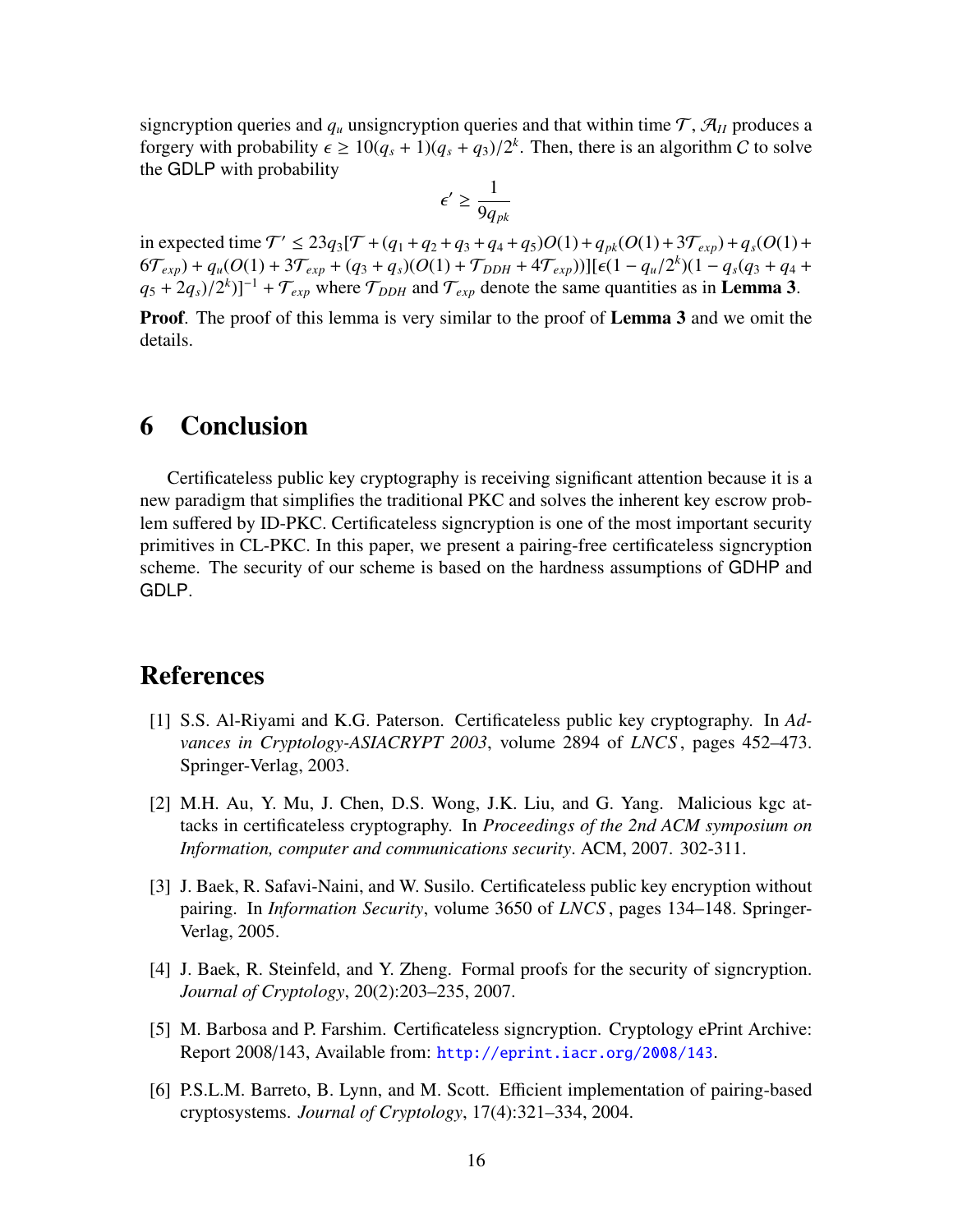signcryption queries and  $q_\mu$  unsigncryption queries and that within time  $\mathcal{T}, \mathcal{A}_{II}$  produces a forgery with probability  $\epsilon \geq 10(q_s + 1)(q_s + q_3)/2^k$ . Then, there is an algorithm C to solve the GDLP with probability

$$
\epsilon' \geq \frac{1}{9q_{pk}}
$$

in expected time  $T' \le 23q_3[T + (q_1 + q_2 + q_3 + q_4 + q_5)O(1) + q_{pk}(O(1) + 3\mathcal{T}_{exp}) + q_s(O(1) +$  $6\mathcal{T}_{exp}$ ) +  $q_u(O(1) + 3\mathcal{T}_{exp} + (q_3 + q_s)(O(1) + \mathcal{T}_{DDH} + 4\mathcal{T}_{exp}))[\epsilon(1 - q_u/2^k)(1 - q_s(q_3 + q_4 +$  $(q_5 + 2q_s)/2^k$ ]<sup>-1</sup> +  $\mathcal{T}_{exp}$  where  $\mathcal{T}_{DDH}$  and  $\mathcal{T}_{exp}$  denote the same quantities as in **Lemma 3**.

**Proof.** The proof of this lemma is very similar to the proof of **Lemma 3** and we omit the details.

### 6 Conclusion

Certificateless public key cryptography is receiving significant attention because it is a new paradigm that simplifies the traditional PKC and solves the inherent key escrow problem suffered by ID-PKC. Certificateless signcryption is one of the most important security primitives in CL-PKC. In this paper, we present a pairing-free certificateless signcryption scheme. The security of our scheme is based on the hardness assumptions of GDHP and GDLP.

### References

- <span id="page-15-1"></span>[1] S.S. Al-Riyami and K.G. Paterson. Certificateless public key cryptography. In *Advances in Cryptology-ASIACRYPT 2003*, volume 2894 of *LNCS* , pages 452–473. Springer-Verlag, 2003.
- <span id="page-15-3"></span>[2] M.H. Au, Y. Mu, J. Chen, D.S. Wong, J.K. Liu, and G. Yang. Malicious kgc attacks in certificateless cryptography. In *Proceedings of the 2nd ACM symposium on Information, computer and communications security*. ACM, 2007. 302-311.
- <span id="page-15-0"></span>[3] J. Baek, R. Safavi-Naini, and W. Susilo. Certificateless public key encryption without pairing. In *Information Security*, volume 3650 of *LNCS* , pages 134–148. Springer-Verlag, 2005.
- <span id="page-15-5"></span>[4] J. Baek, R. Steinfeld, and Y. Zheng. Formal proofs for the security of signcryption. *Journal of Cryptology*, 20(2):203–235, 2007.
- <span id="page-15-2"></span>[5] M. Barbosa and P. Farshim. Certificateless signcryption. Cryptology ePrint Archive: Report 2008/143, Available from: <http://eprint.iacr.org/2008/143>.
- <span id="page-15-4"></span>[6] P.S.L.M. Barreto, B. Lynn, and M. Scott. Efficient implementation of pairing-based cryptosystems. *Journal of Cryptology*, 17(4):321–334, 2004.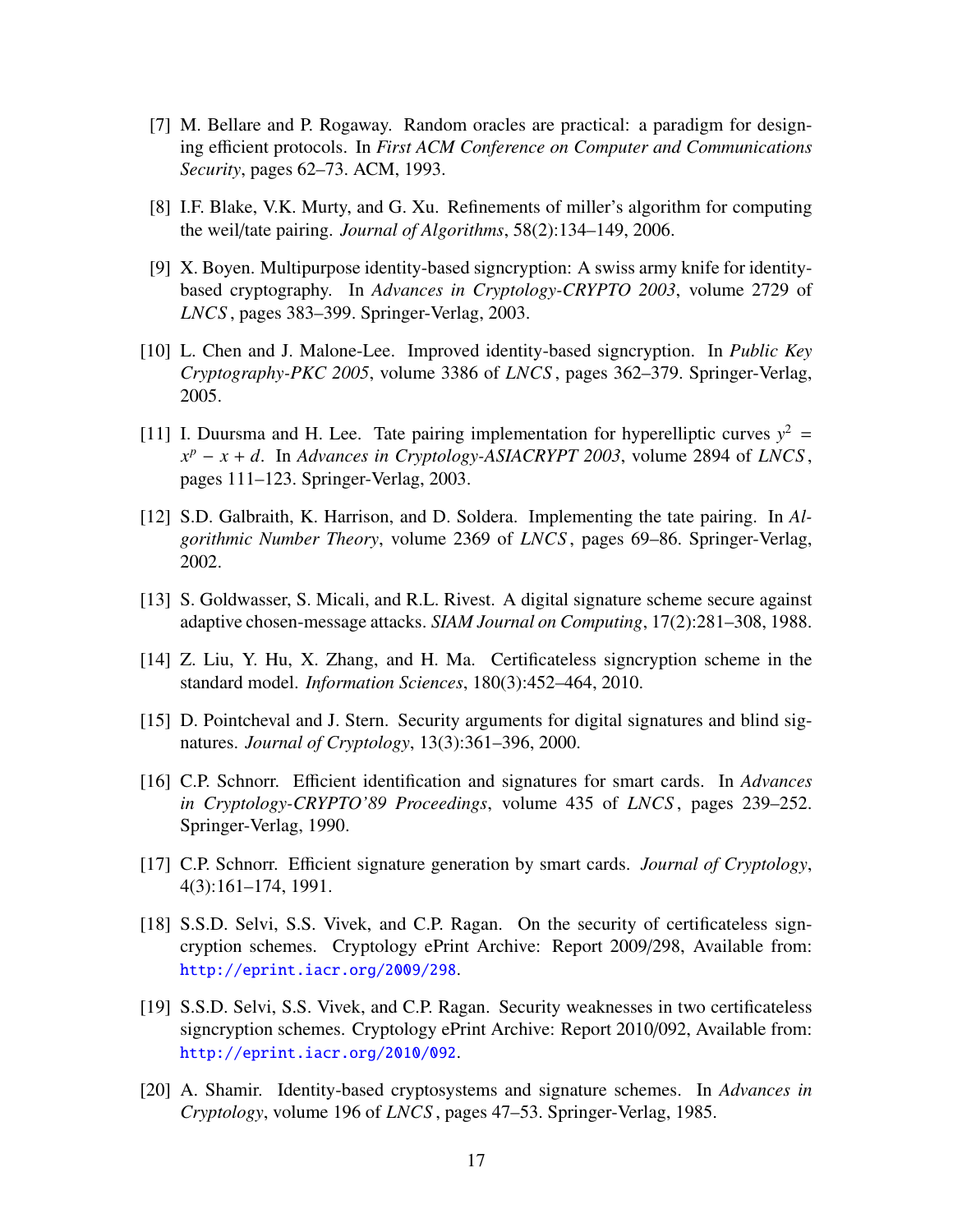- <span id="page-16-10"></span>[7] M. Bellare and P. Rogaway. Random oracles are practical: a paradigm for designing efficient protocols. In *First ACM Conference on Computer and Communications Security*, pages 62–73. ACM, 1993.
- <span id="page-16-4"></span>[8] I.F. Blake, V.K. Murty, and G. Xu. Refinements of miller's algorithm for computing the weil/tate pairing. *Journal of Algorithms*, 58(2):134–149, 2006.
- <span id="page-16-8"></span>[9] X. Boyen. Multipurpose identity-based signcryption: A swiss army knife for identitybased cryptography. In *Advances in Cryptology-CRYPTO 2003*, volume 2729 of *LNCS* , pages 383–399. Springer-Verlag, 2003.
- <span id="page-16-9"></span>[10] L. Chen and J. Malone-Lee. Improved identity-based signcryption. In *Public Key Cryptography-PKC 2005*, volume 3386 of *LNCS* , pages 362–379. Springer-Verlag, 2005.
- <span id="page-16-5"></span>[11] I. Duursma and H. Lee. Tate pairing implementation for hyperelliptic curves  $y^2 =$ *x <sup>p</sup>* − *x* + *d*. In *Advances in Cryptology-ASIACRYPT 2003*, volume 2894 of *LNCS* , pages 111–123. Springer-Verlag, 2003.
- <span id="page-16-6"></span>[12] S.D. Galbraith, K. Harrison, and D. Soldera. Implementing the tate pairing. In *Algorithmic Number Theory*, volume 2369 of *LNCS* , pages 69–86. Springer-Verlag, 2002.
- <span id="page-16-7"></span>[13] S. Goldwasser, S. Micali, and R.L. Rivest. A digital signature scheme secure against adaptive chosen-message attacks. *SIAM Journal on Computing*, 17(2):281–308, 1988.
- <span id="page-16-2"></span>[14] Z. Liu, Y. Hu, X. Zhang, and H. Ma. Certificateless signcryption scheme in the standard model. *Information Sciences*, 180(3):452–464, 2010.
- <span id="page-16-13"></span>[15] D. Pointcheval and J. Stern. Security arguments for digital signatures and blind signatures. *Journal of Cryptology*, 13(3):361–396, 2000.
- <span id="page-16-11"></span>[16] C.P. Schnorr. Efficient identification and signatures for smart cards. In *Advances in Cryptology-CRYPTO'89 Proceedings*, volume 435 of *LNCS* , pages 239–252. Springer-Verlag, 1990.
- <span id="page-16-12"></span>[17] C.P. Schnorr. Efficient signature generation by smart cards. *Journal of Cryptology*, 4(3):161–174, 1991.
- <span id="page-16-1"></span>[18] S.S.D. Selvi, S.S. Vivek, and C.P. Ragan. On the security of certificateless signcryption schemes. Cryptology ePrint Archive: Report 2009/298, Available from: <http://eprint.iacr.org/2009/298>.
- <span id="page-16-3"></span>[19] S.S.D. Selvi, S.S. Vivek, and C.P. Ragan. Security weaknesses in two certificateless signcryption schemes. Cryptology ePrint Archive: Report 2010/092, Available from: <http://eprint.iacr.org/2010/092>.
- <span id="page-16-0"></span>[20] A. Shamir. Identity-based cryptosystems and signature schemes. In *Advances in Cryptology*, volume 196 of *LNCS* , pages 47–53. Springer-Verlag, 1985.